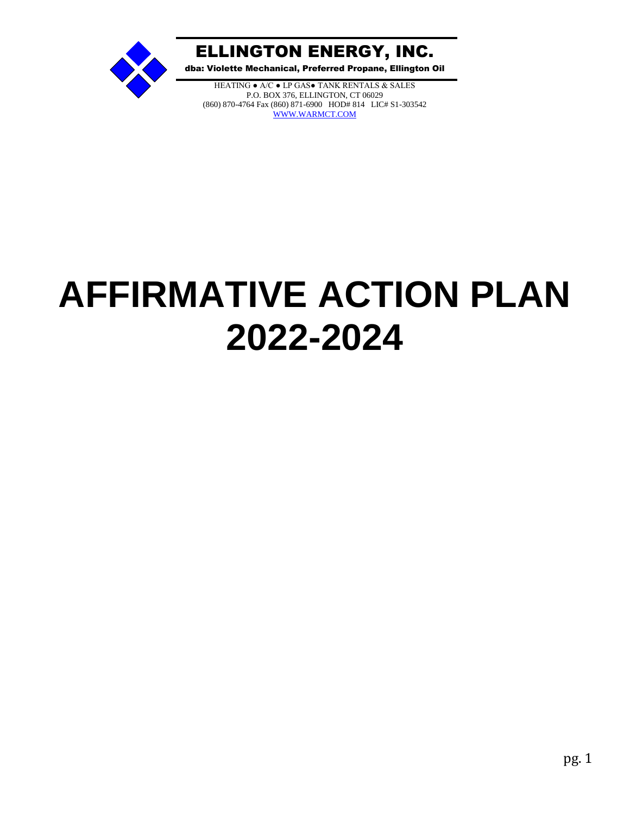

dba: Violette Mechanical, Preferred Propane, Ellington Oil

HEATING ● A/C ● LP GAS● TANK RENTALS & SALES P.O. BOX 376, ELLINGTON, CT 06029 (860) 870-4764 Fax (860) 871-6900 HOD# 814 LIC# S1-303542 [WWW.WARMCT.COM](http://www.warmct.com/) 

# **AFFIRMATIVE ACTION PLAN 2022-2024**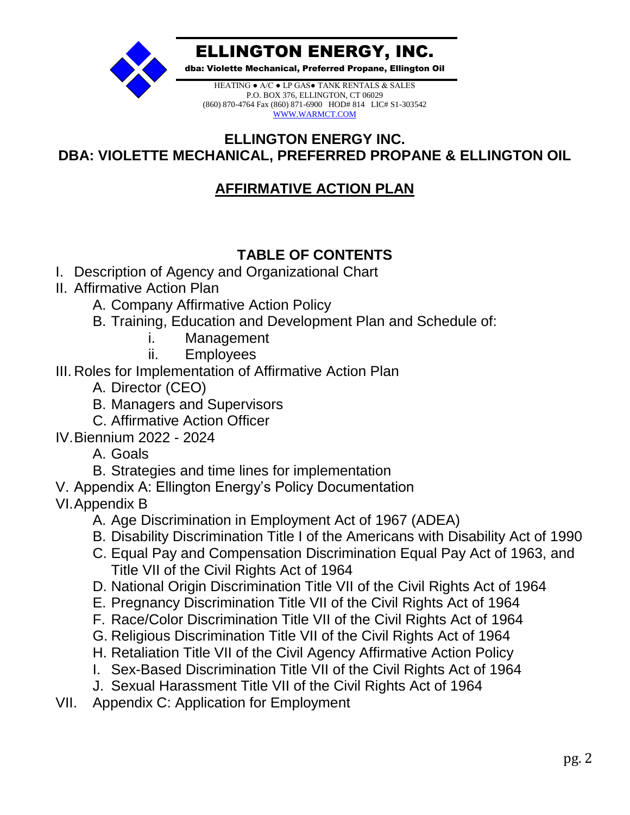

dba: Violette Mechanical, Preferred Propane, Ellington Oil

HEATING ● A/C ● LP GAS● TANK RENTALS & SALES P.O. BOX 376, ELLINGTON, CT 06029 (860) 870-4764 Fax (860) 871-6900 HOD# 814 LIC# S1-303542 [WWW.WARMCT.COM](http://www.warmct.com/) 

## **ELLINGTON ENERGY INC. DBA: VIOLETTE MECHANICAL, PREFERRED PROPANE & ELLINGTON OIL**

## **AFFIRMATIVE ACTION PLAN**

## **TABLE OF CONTENTS**

- I. Description of Agency and Organizational Chart
- II. Affirmative Action Plan
	- A. Company Affirmative Action Policy
	- B. Training, Education and Development Plan and Schedule of:
		- i. Management
		- ii. Employees
- III. Roles for Implementation of Affirmative Action Plan
	- A. Director (CEO)
	- B. Managers and Supervisors
	- C. Affirmative Action Officer
- IV.Biennium 2022 2024
	- A. Goals
	- B. Strategies and time lines for implementation
- V. Appendix A: Ellington Energy's Policy Documentation
- VI.Appendix B
	- A. Age Discrimination in Employment Act of 1967 (ADEA)
	- B. Disability Discrimination Title I of the Americans with Disability Act of 1990
	- C. Equal Pay and Compensation Discrimination Equal Pay Act of 1963, and Title VII of the Civil Rights Act of 1964
	- D. National Origin Discrimination Title VII of the Civil Rights Act of 1964
	- E. Pregnancy Discrimination Title VII of the Civil Rights Act of 1964
	- F. Race/Color Discrimination Title VII of the Civil Rights Act of 1964
	- G. Religious Discrimination Title VII of the Civil Rights Act of 1964
	- H. Retaliation Title VII of the Civil Agency Affirmative Action Policy
	- I. Sex-Based Discrimination Title VII of the Civil Rights Act of 1964
	- J. Sexual Harassment Title VII of the Civil Rights Act of 1964
- VII. Appendix C: Application for Employment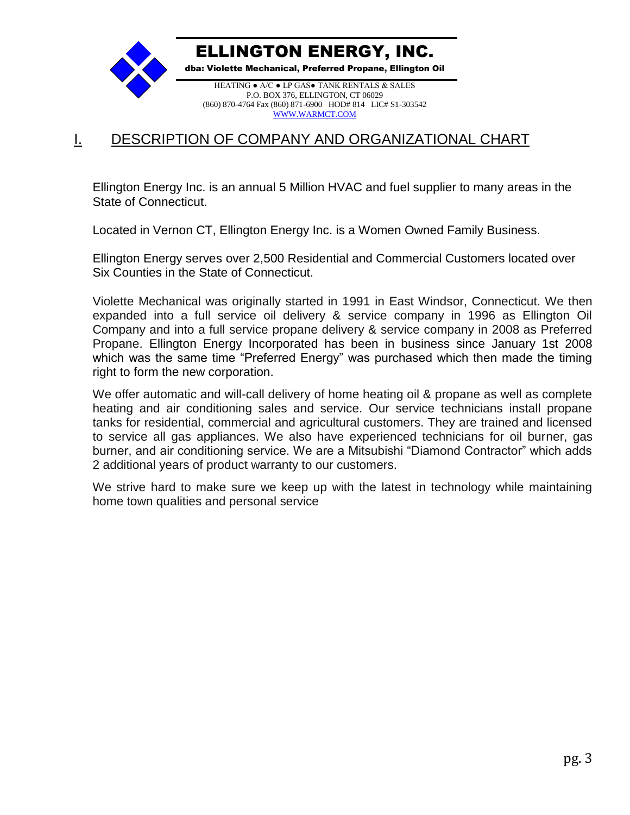

## I. DESCRIPTION OF COMPANY AND ORGANIZATIONAL CHART

Ellington Energy Inc. is an annual 5 Million HVAC and fuel supplier to many areas in the State of Connecticut.

Located in Vernon CT, Ellington Energy Inc. is a Women Owned Family Business.

Ellington Energy serves over 2,500 Residential and Commercial Customers located over Six Counties in the State of Connecticut.

Violette Mechanical was originally started in 1991 in East Windsor, Connecticut. We then expanded into a full service oil delivery & service company in 1996 as Ellington Oil Company and into a full service propane delivery & service company in 2008 as Preferred Propane. Ellington Energy Incorporated has been in business since January 1st 2008 which was the same time "Preferred Energy" was purchased which then made the timing right to form the new corporation.

We offer automatic and will-call delivery of home heating oil & propane as well as complete heating and air conditioning sales and service. Our service technicians install propane tanks for residential, commercial and agricultural customers. They are trained and licensed to service all gas appliances. We also have experienced technicians for oil burner, gas burner, and air conditioning service. We are a Mitsubishi "Diamond Contractor" which adds 2 additional years of product warranty to our customers.

We strive hard to make sure we keep up with the latest in technology while maintaining home town qualities and personal service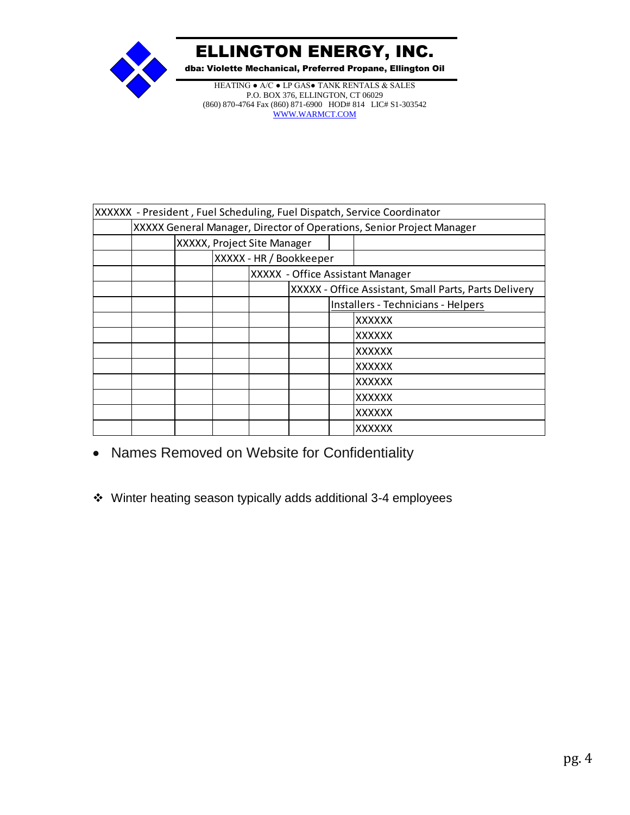

dba: Violette Mechanical, Preferred Propane, Ellington Oil

HEATING  $\bullet$  A/C  $\bullet$  LP GAS $\bullet$  TANK RENTALS & SALES P.O. BOX 376, ELLINGTON, CT 06029 (860) 870-4764 Fax (860) 871-6900 HOD# 814 LIC# S1-303542 [WWW.WARMCT.COM](http://www.warmct.com/) 

| XXXXXX - President, Fuel Scheduling, Fuel Dispatch, Service Coordinator |                             |                                                       |                         |                                  |  |                                    |               |  |  |
|-------------------------------------------------------------------------|-----------------------------|-------------------------------------------------------|-------------------------|----------------------------------|--|------------------------------------|---------------|--|--|
| XXXXX General Manager, Director of Operations, Senior Project Manager   |                             |                                                       |                         |                                  |  |                                    |               |  |  |
|                                                                         | XXXXX, Project Site Manager |                                                       |                         |                                  |  |                                    |               |  |  |
|                                                                         |                             |                                                       | XXXXX - HR / Bookkeeper |                                  |  |                                    |               |  |  |
|                                                                         |                             |                                                       |                         | XXXXX - Office Assistant Manager |  |                                    |               |  |  |
|                                                                         |                             | XXXXX - Office Assistant, Small Parts, Parts Delivery |                         |                                  |  |                                    |               |  |  |
|                                                                         |                             |                                                       |                         |                                  |  | Installers - Technicians - Helpers |               |  |  |
|                                                                         |                             |                                                       |                         |                                  |  |                                    | <b>XXXXXX</b> |  |  |
|                                                                         |                             |                                                       |                         |                                  |  |                                    | XXXXXX        |  |  |
|                                                                         |                             |                                                       |                         |                                  |  | XXXXXX                             |               |  |  |
|                                                                         |                             |                                                       |                         |                                  |  |                                    | XXXXXX        |  |  |
|                                                                         |                             |                                                       |                         |                                  |  |                                    | XXXXXX        |  |  |
|                                                                         |                             |                                                       |                         |                                  |  |                                    | XXXXXX        |  |  |
|                                                                         |                             |                                                       |                         |                                  |  |                                    | <b>XXXXXX</b> |  |  |
|                                                                         | <b>XXXXXX</b>               |                                                       |                         |                                  |  |                                    |               |  |  |

- Names Removed on Website for Confidentiality
- Winter heating season typically adds additional 3-4 employees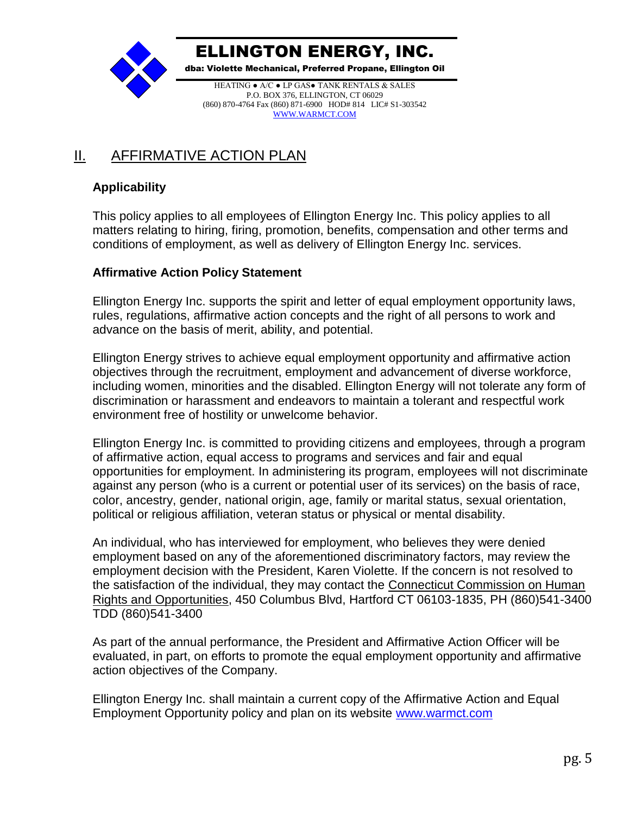

dba: Violette Mechanical, Preferred Propane, Ellington Oil

HEATING ● A/C ● LP GAS● TANK RENTALS & SALES P.O. BOX 376, ELLINGTON, CT 06029 (860) 870-4764 Fax (860) 871-6900 HOD# 814 LIC# S1-303542 [WWW.WARMCT.COM](http://www.warmct.com/) 

## II. AFFIRMATIVE ACTION PLAN

#### **Applicability**

This policy applies to all employees of Ellington Energy Inc. This policy applies to all matters relating to hiring, firing, promotion, benefits, compensation and other terms and conditions of employment, as well as delivery of Ellington Energy Inc. services.

#### **Affirmative Action Policy Statement**

Ellington Energy Inc. supports the spirit and letter of equal employment opportunity laws, rules, regulations, affirmative action concepts and the right of all persons to work and advance on the basis of merit, ability, and potential.

Ellington Energy strives to achieve equal employment opportunity and affirmative action objectives through the recruitment, employment and advancement of diverse workforce, including women, minorities and the disabled. Ellington Energy will not tolerate any form of discrimination or harassment and endeavors to maintain a tolerant and respectful work environment free of hostility or unwelcome behavior.

Ellington Energy Inc. is committed to providing citizens and employees, through a program of affirmative action, equal access to programs and services and fair and equal opportunities for employment. In administering its program, employees will not discriminate against any person (who is a current or potential user of its services) on the basis of race, color, ancestry, gender, national origin, age, family or marital status, sexual orientation, political or religious affiliation, veteran status or physical or mental disability.

An individual, who has interviewed for employment, who believes they were denied employment based on any of the aforementioned discriminatory factors, may review the employment decision with the President, Karen Violette. If the concern is not resolved to the satisfaction of the individual, they may contact the Connecticut Commission on Human Rights and Opportunities, 450 Columbus Blvd, Hartford CT 06103-1835, PH (860)541-3400 TDD (860)541-3400

As part of the annual performance, the President and Affirmative Action Officer will be evaluated, in part, on efforts to promote the equal employment opportunity and affirmative action objectives of the Company.

Ellington Energy Inc. shall maintain a current copy of the Affirmative Action and Equal Employment Opportunity policy and plan on its website [www.warmct.com](http://www.warmct.com/)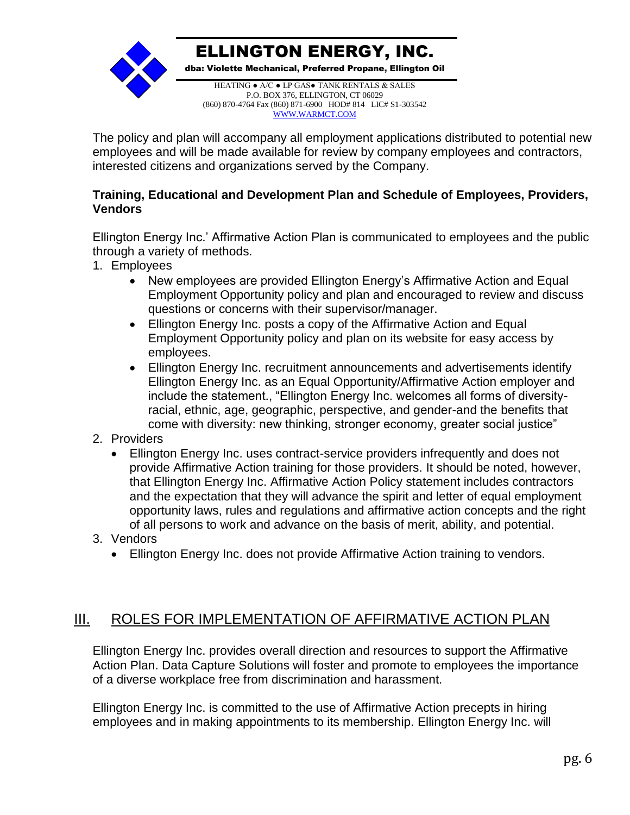

The policy and plan will accompany all employment applications distributed to potential new employees and will be made available for review by company employees and contractors, interested citizens and organizations served by the Company.

#### **Training, Educational and Development Plan and Schedule of Employees, Providers, Vendors**

Ellington Energy Inc.' Affirmative Action Plan is communicated to employees and the public through a variety of methods.

- 1. Employees
	- New employees are provided Ellington Energy's Affirmative Action and Equal Employment Opportunity policy and plan and encouraged to review and discuss questions or concerns with their supervisor/manager.
	- Ellington Energy Inc. posts a copy of the Affirmative Action and Equal Employment Opportunity policy and plan on its website for easy access by employees.
	- Ellington Energy Inc. recruitment announcements and advertisements identify Ellington Energy Inc. as an Equal Opportunity/Affirmative Action employer and include the statement., "Ellington Energy Inc. welcomes all forms of diversityracial, ethnic, age, geographic, perspective, and gender-and the benefits that come with diversity: new thinking, stronger economy, greater social justice"
- 2. Providers
	- Ellington Energy Inc. uses contract-service providers infrequently and does not provide Affirmative Action training for those providers. It should be noted, however, that Ellington Energy Inc. Affirmative Action Policy statement includes contractors and the expectation that they will advance the spirit and letter of equal employment opportunity laws, rules and regulations and affirmative action concepts and the right of all persons to work and advance on the basis of merit, ability, and potential.
- 3. Vendors
	- Ellington Energy Inc. does not provide Affirmative Action training to vendors.

#### III. ROLES FOR IMPLEMENTATION OF AFFIRMATIVE ACTION PLAN

Ellington Energy Inc. provides overall direction and resources to support the Affirmative Action Plan. Data Capture Solutions will foster and promote to employees the importance of a diverse workplace free from discrimination and harassment.

Ellington Energy Inc. is committed to the use of Affirmative Action precepts in hiring employees and in making appointments to its membership. Ellington Energy Inc. will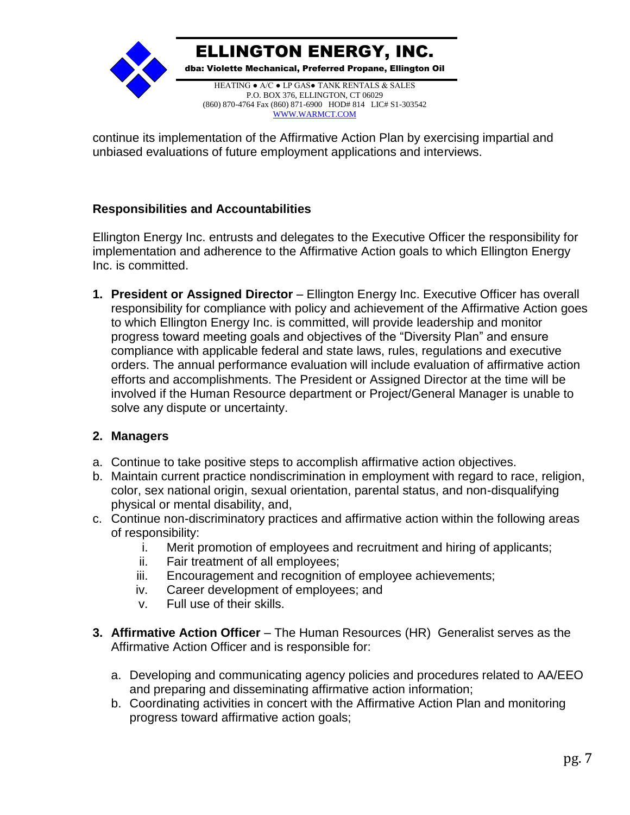

HEATING ● A/C ● LP GAS● TANK RENTALS & SALES P.O. BOX 376, ELLINGTON, CT 06029 (860) 870-4764 Fax (860) 871-6900 HOD# 814 LIC# S1-303542 [WWW.WARMCT.COM](http://www.warmct.com/) 

ELLINGTON ENERGY, INC. dba: Violette Mechanical, Preferred Propane, Ellington Oil

continue its implementation of the Affirmative Action Plan by exercising impartial and unbiased evaluations of future employment applications and interviews.

#### **Responsibilities and Accountabilities**

Ellington Energy Inc. entrusts and delegates to the Executive Officer the responsibility for implementation and adherence to the Affirmative Action goals to which Ellington Energy Inc. is committed.

**1. President or Assigned Director** – Ellington Energy Inc. Executive Officer has overall responsibility for compliance with policy and achievement of the Affirmative Action goes to which Ellington Energy Inc. is committed, will provide leadership and monitor progress toward meeting goals and objectives of the "Diversity Plan" and ensure compliance with applicable federal and state laws, rules, regulations and executive orders. The annual performance evaluation will include evaluation of affirmative action efforts and accomplishments. The President or Assigned Director at the time will be involved if the Human Resource department or Project/General Manager is unable to solve any dispute or uncertainty.

#### **2. Managers**

- a. Continue to take positive steps to accomplish affirmative action objectives.
- b. Maintain current practice nondiscrimination in employment with regard to race, religion, color, sex national origin, sexual orientation, parental status, and non-disqualifying physical or mental disability, and,
- c. Continue non-discriminatory practices and affirmative action within the following areas of responsibility:
	- i. Merit promotion of employees and recruitment and hiring of applicants;
	- ii. Fair treatment of all employees;
	- iii. Encouragement and recognition of employee achievements;
	- iv. Career development of employees; and
	- v. Full use of their skills.
- **3. Affirmative Action Officer** The Human Resources (HR) Generalist serves as the Affirmative Action Officer and is responsible for:
	- a. Developing and communicating agency policies and procedures related to AA/EEO and preparing and disseminating affirmative action information;
	- b. Coordinating activities in concert with the Affirmative Action Plan and monitoring progress toward affirmative action goals;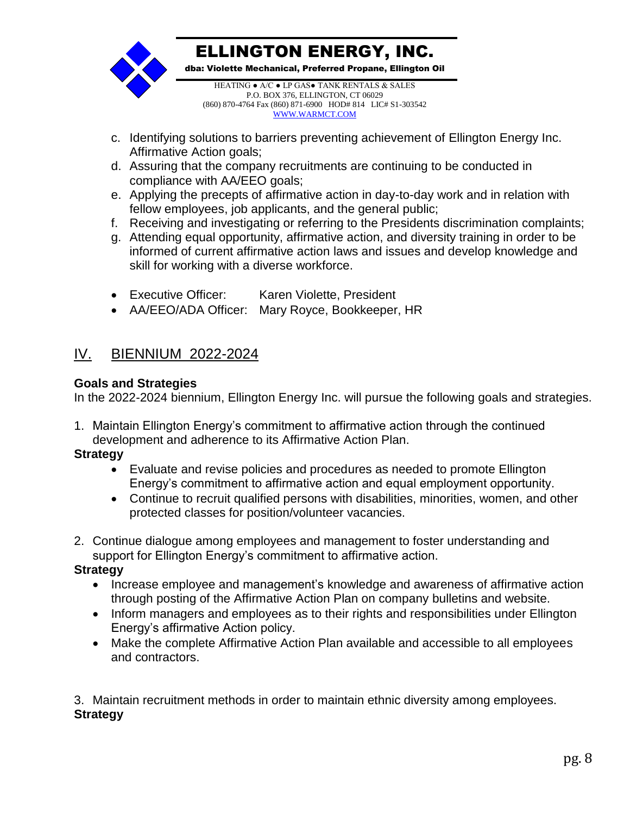

dba: Violette Mechanical, Preferred Propane, Ellington Oil

HEATING ● A/C ● LP GAS● TANK RENTALS & SALES P.O. BOX 376, ELLINGTON, CT 06029 (860) 870-4764 Fax (860) 871-6900 HOD# 814 LIC# S1-303542 [WWW.WARMCT.COM](http://www.warmct.com/) 

- c. Identifying solutions to barriers preventing achievement of Ellington Energy Inc. Affirmative Action goals;
- d. Assuring that the company recruitments are continuing to be conducted in compliance with AA/EEO goals;
- e. Applying the precepts of affirmative action in day-to-day work and in relation with fellow employees, job applicants, and the general public;
- f. Receiving and investigating or referring to the Presidents discrimination complaints;
- g. Attending equal opportunity, affirmative action, and diversity training in order to be informed of current affirmative action laws and issues and develop knowledge and skill for working with a diverse workforce.
- Executive Officer: Karen Violette, President
- AA/EEO/ADA Officer: Mary Royce, Bookkeeper, HR

#### IV. BIENNIUM 2022-2024

#### **Goals and Strategies**

In the 2022-2024 biennium, Ellington Energy Inc. will pursue the following goals and strategies.

1. Maintain Ellington Energy's commitment to affirmative action through the continued development and adherence to its Affirmative Action Plan.

#### **Strategy**

- Evaluate and revise policies and procedures as needed to promote Ellington Energy's commitment to affirmative action and equal employment opportunity.
- Continue to recruit qualified persons with disabilities, minorities, women, and other protected classes for position/volunteer vacancies.
- 2. Continue dialogue among employees and management to foster understanding and support for Ellington Energy's commitment to affirmative action.

#### **Strategy**

- Increase employee and management's knowledge and awareness of affirmative action through posting of the Affirmative Action Plan on company bulletins and website.
- Inform managers and employees as to their rights and responsibilities under Ellington Energy's affirmative Action policy.
- Make the complete Affirmative Action Plan available and accessible to all employees and contractors.

3. Maintain recruitment methods in order to maintain ethnic diversity among employees. **Strategy**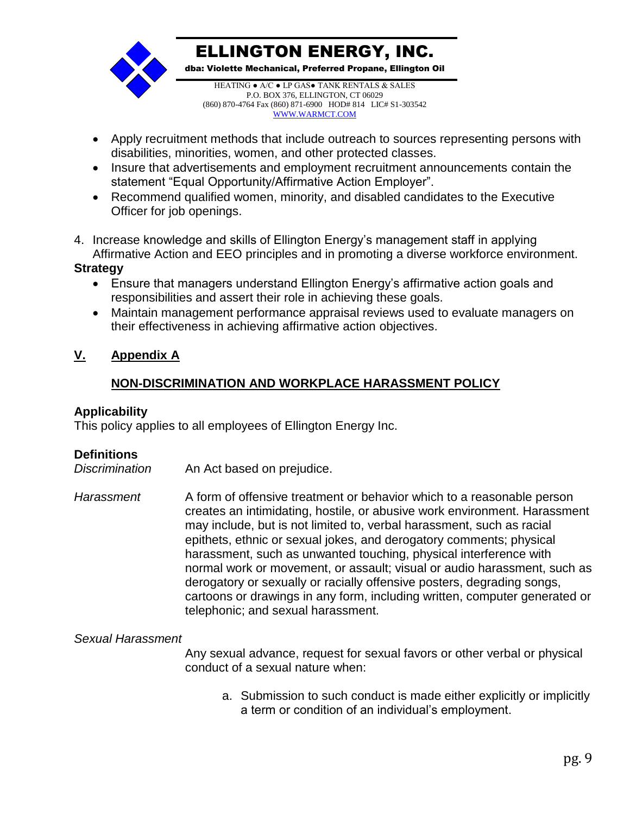

dba: Violette Mechanical, Preferred Propane, Ellington Oil

HEATING ● A/C ● LP GAS● TANK RENTALS & SALES P.O. BOX 376, ELLINGTON, CT 06029 (860) 870-4764 Fax (860) 871-6900 HOD# 814 LIC# S1-303542 [WWW.WARMCT.COM](http://www.warmct.com/) 

- Apply recruitment methods that include outreach to sources representing persons with disabilities, minorities, women, and other protected classes.
- Insure that advertisements and employment recruitment announcements contain the statement "Equal Opportunity/Affirmative Action Employer".
- Recommend qualified women, minority, and disabled candidates to the Executive Officer for job openings.
- 4. Increase knowledge and skills of Ellington Energy's management staff in applying Affirmative Action and EEO principles and in promoting a diverse workforce environment.

#### **Strategy**

- Ensure that managers understand Ellington Energy's affirmative action goals and responsibilities and assert their role in achieving these goals.
- Maintain management performance appraisal reviews used to evaluate managers on their effectiveness in achieving affirmative action objectives.

#### **V. Appendix A**

#### **NON-DISCRIMINATION AND WORKPLACE HARASSMENT POLICY**

#### **Applicability**

This policy applies to all employees of Ellington Energy Inc.

#### **Definitions**

*Discrimination* An Act based on prejudice.

*Harassment* A form of offensive treatment or behavior which to a reasonable person creates an intimidating, hostile, or abusive work environment. Harassment may include, but is not limited to, verbal harassment, such as racial epithets, ethnic or sexual jokes, and derogatory comments; physical harassment, such as unwanted touching, physical interference with normal work or movement, or assault; visual or audio harassment, such as derogatory or sexually or racially offensive posters, degrading songs, cartoons or drawings in any form, including written, computer generated or telephonic; and sexual harassment.

#### *Sexual Harassment*

Any sexual advance, request for sexual favors or other verbal or physical conduct of a sexual nature when:

a. Submission to such conduct is made either explicitly or implicitly a term or condition of an individual's employment.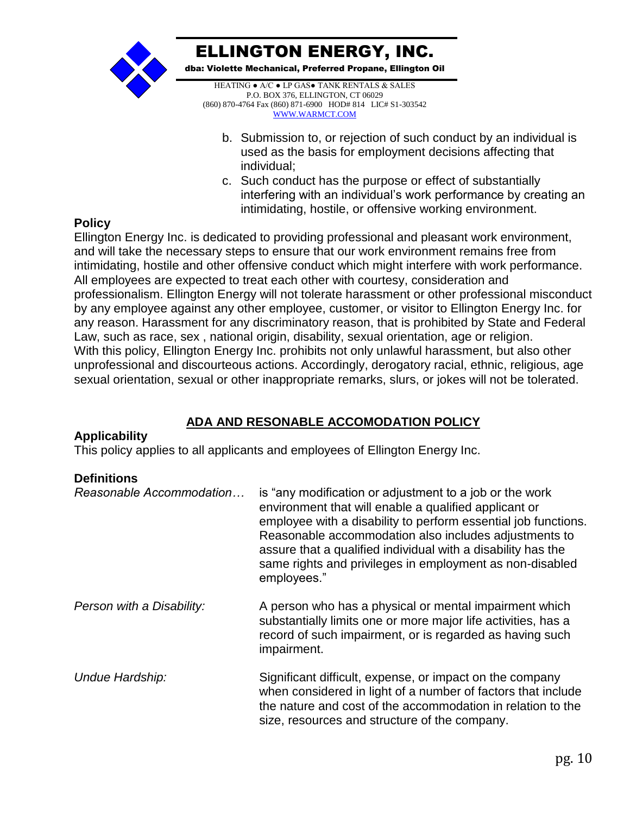

dba: Violette Mechanical, Preferred Propane, Ellington Oil

HEATING ● A/C ● LP GAS● TANK RENTALS & SALES P.O. BOX 376, ELLINGTON, CT 06029 (860) 870-4764 Fax (860) 871-6900 HOD# 814 LIC# S1-303542 [WWW.WARMCT.COM](http://www.warmct.com/) 

- b. Submission to, or rejection of such conduct by an individual is used as the basis for employment decisions affecting that individual;
- c. Such conduct has the purpose or effect of substantially interfering with an individual's work performance by creating an intimidating, hostile, or offensive working environment.

#### **Policy**

Ellington Energy Inc. is dedicated to providing professional and pleasant work environment, and will take the necessary steps to ensure that our work environment remains free from intimidating, hostile and other offensive conduct which might interfere with work performance. All employees are expected to treat each other with courtesy, consideration and professionalism. Ellington Energy will not tolerate harassment or other professional misconduct by any employee against any other employee, customer, or visitor to Ellington Energy Inc. for any reason. Harassment for any discriminatory reason, that is prohibited by State and Federal Law, such as race, sex , national origin, disability, sexual orientation, age or religion. With this policy, Ellington Energy Inc. prohibits not only unlawful harassment, but also other unprofessional and discourteous actions. Accordingly, derogatory racial, ethnic, religious, age sexual orientation, sexual or other inappropriate remarks, slurs, or jokes will not be tolerated.

#### **ADA AND RESONABLE ACCOMODATION POLICY**

#### **Applicability**

This policy applies to all applicants and employees of Ellington Energy Inc.

#### **Definitions**

| Reasonable Accommodation  | is "any modification or adjustment to a job or the work<br>environment that will enable a qualified applicant or<br>employee with a disability to perform essential job functions.<br>Reasonable accommodation also includes adjustments to<br>assure that a qualified individual with a disability has the<br>same rights and privileges in employment as non-disabled<br>employees." |
|---------------------------|----------------------------------------------------------------------------------------------------------------------------------------------------------------------------------------------------------------------------------------------------------------------------------------------------------------------------------------------------------------------------------------|
| Person with a Disability: | A person who has a physical or mental impairment which<br>substantially limits one or more major life activities, has a<br>record of such impairment, or is regarded as having such<br>impairment.                                                                                                                                                                                     |
| Undue Hardship:           | Significant difficult, expense, or impact on the company<br>when considered in light of a number of factors that include<br>the nature and cost of the accommodation in relation to the<br>size, resources and structure of the company.                                                                                                                                               |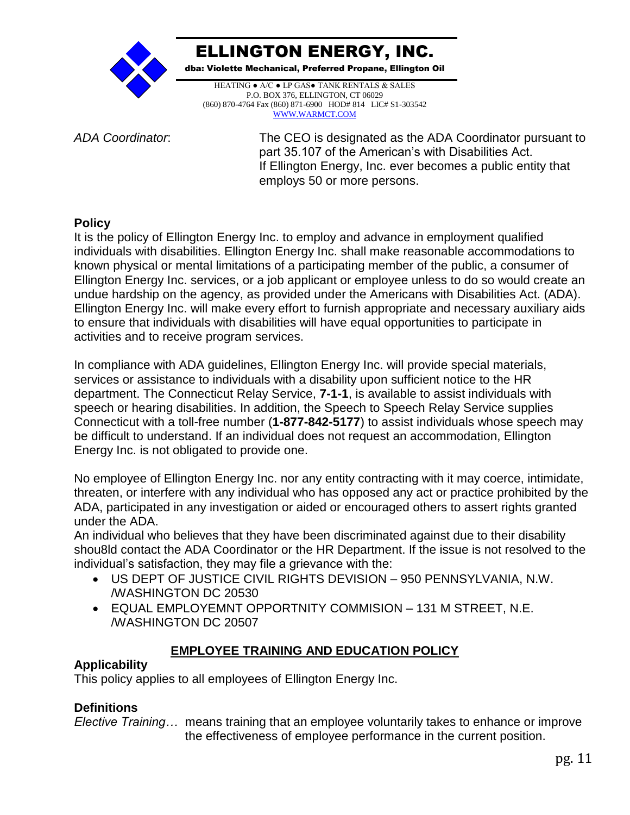

dba: Violette Mechanical, Preferred Propane, Ellington Oil

HEATING ● A/C ● LP GAS● TANK RENTALS & SALES P.O. BOX 376, ELLINGTON, CT 06029 (860) 870-4764 Fax (860) 871-6900 HOD# 814 LIC# S1-303542 [WWW.WARMCT.COM](http://www.warmct.com/) 

*ADA Coordinator*: The CEO is designated as the ADA Coordinator pursuant to part 35.107 of the American's with Disabilities Act. If Ellington Energy, Inc. ever becomes a public entity that employs 50 or more persons.

#### **Policy**

It is the policy of Ellington Energy Inc. to employ and advance in employment qualified individuals with disabilities. Ellington Energy Inc. shall make reasonable accommodations to known physical or mental limitations of a participating member of the public, a consumer of Ellington Energy Inc. services, or a job applicant or employee unless to do so would create an undue hardship on the agency, as provided under the Americans with Disabilities Act. (ADA). Ellington Energy Inc. will make every effort to furnish appropriate and necessary auxiliary aids to ensure that individuals with disabilities will have equal opportunities to participate in activities and to receive program services.

In compliance with ADA guidelines, Ellington Energy Inc. will provide special materials, services or assistance to individuals with a disability upon sufficient notice to the HR department. The Connecticut Relay Service, **7-1-1**, is available to assist individuals with speech or hearing disabilities. In addition, the Speech to Speech Relay Service supplies Connecticut with a toll-free number (**1-877-842-5177**) to assist individuals whose speech may be difficult to understand. If an individual does not request an accommodation, Ellington Energy Inc. is not obligated to provide one.

No employee of Ellington Energy Inc. nor any entity contracting with it may coerce, intimidate, threaten, or interfere with any individual who has opposed any act or practice prohibited by the ADA, participated in any investigation or aided or encouraged others to assert rights granted under the ADA.

An individual who believes that they have been discriminated against due to their disability shou8ld contact the ADA Coordinator or the HR Department. If the issue is not resolved to the individual's satisfaction, they may file a grievance with the:

- US DEPT OF JUSTICE CIVIL RIGHTS DEVISION 950 PENNSYLVANIA, N.W. /WASHINGTON DC 20530
- EQUAL EMPLOYEMNT OPPORTNITY COMMISION 131 M STREET, N.E. /WASHINGTON DC 20507

#### **EMPLOYEE TRAINING AND EDUCATION POLICY**

#### **Applicability**

This policy applies to all employees of Ellington Energy Inc.

#### **Definitions**

*Elective Training…* means training that an employee voluntarily takes to enhance or improve the effectiveness of employee performance in the current position.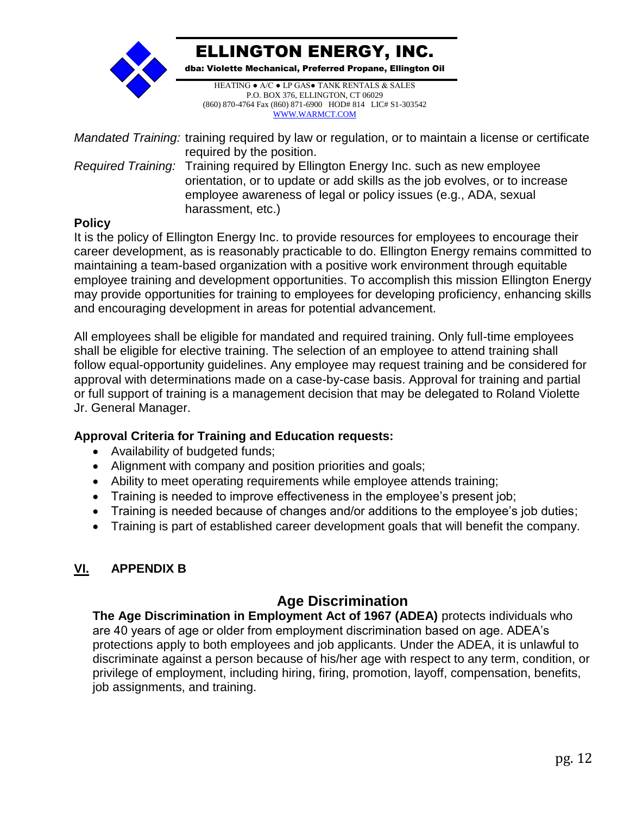

dba: Violette Mechanical, Preferred Propane, Ellington Oil

HEATING ● A/C ● LP GAS● TANK RENTALS & SALES P.O. BOX 376, ELLINGTON, CT 06029 (860) 870-4764 Fax (860) 871-6900 HOD# 814 LIC# S1-303542 [WWW.WARMCT.COM](http://www.warmct.com/) 

*Mandated Training:* training required by law or regulation, or to maintain a license or certificate required by the position.

*Required Training:* Training required by Ellington Energy Inc. such as new employee orientation, or to update or add skills as the job evolves, or to increase employee awareness of legal or policy issues (e.g., ADA, sexual harassment, etc.)

#### **Policy**

It is the policy of Ellington Energy Inc. to provide resources for employees to encourage their career development, as is reasonably practicable to do. Ellington Energy remains committed to maintaining a team-based organization with a positive work environment through equitable employee training and development opportunities. To accomplish this mission Ellington Energy may provide opportunities for training to employees for developing proficiency, enhancing skills and encouraging development in areas for potential advancement.

All employees shall be eligible for mandated and required training. Only full-time employees shall be eligible for elective training. The selection of an employee to attend training shall follow equal-opportunity guidelines. Any employee may request training and be considered for approval with determinations made on a case-by-case basis. Approval for training and partial or full support of training is a management decision that may be delegated to Roland Violette Jr. General Manager.

#### **Approval Criteria for Training and Education requests:**

- Availability of budgeted funds;
- Alignment with company and position priorities and goals;
- Ability to meet operating requirements while employee attends training;
- Training is needed to improve effectiveness in the employee's present job;
- Training is needed because of changes and/or additions to the employee's job duties;
- Training is part of established career development goals that will benefit the company.

#### **VI. APPENDIX B**

## **Age Discrimination**

**The Age Discrimination in Employment Act of 1967 (ADEA)** protects individuals who are 40 years of age or older from employment discrimination based on age. ADEA's protections apply to both employees and job applicants. Under the ADEA, it is unlawful to discriminate against a person because of his/her age with respect to any term, condition, or privilege of employment, including hiring, firing, promotion, layoff, compensation, benefits, job assignments, and training.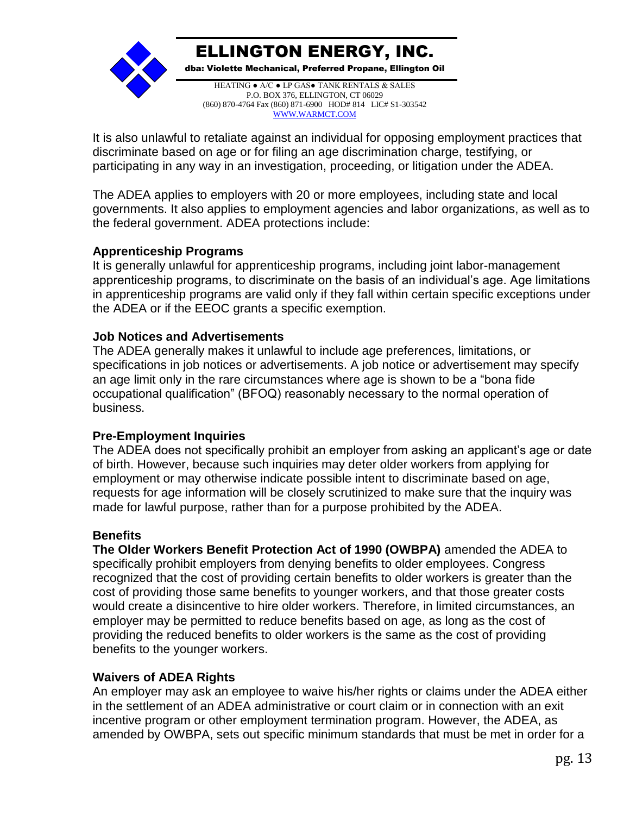

It is also unlawful to retaliate against an individual for opposing employment practices that discriminate based on age or for filing an age discrimination charge, testifying, or participating in any way in an investigation, proceeding, or litigation under the ADEA.

The ADEA applies to employers with 20 or more employees, including state and local governments. It also applies to employment agencies and labor organizations, as well as to the federal government. ADEA protections include:

#### **Apprenticeship Programs**

It is generally unlawful for apprenticeship programs, including joint labor-management apprenticeship programs, to discriminate on the basis of an individual's age. Age limitations in apprenticeship programs are valid only if they fall within certain specific exceptions under the ADEA or if the EEOC grants a specific exemption.

#### **Job Notices and Advertisements**

The ADEA generally makes it unlawful to include age preferences, limitations, or specifications in job notices or advertisements. A job notice or advertisement may specify an age limit only in the rare circumstances where age is shown to be a "bona fide occupational qualification" (BFOQ) reasonably necessary to the normal operation of business.

#### **Pre-Employment Inquiries**

The ADEA does not specifically prohibit an employer from asking an applicant's age or date of birth. However, because such inquiries may deter older workers from applying for employment or may otherwise indicate possible intent to discriminate based on age, requests for age information will be closely scrutinized to make sure that the inquiry was made for lawful purpose, rather than for a purpose prohibited by the ADEA.

#### **Benefits**

**The Older Workers Benefit Protection Act of 1990 (OWBPA)** amended the ADEA to specifically prohibit employers from denying benefits to older employees. Congress recognized that the cost of providing certain benefits to older workers is greater than the cost of providing those same benefits to younger workers, and that those greater costs would create a disincentive to hire older workers. Therefore, in limited circumstances, an employer may be permitted to reduce benefits based on age, as long as the cost of providing the reduced benefits to older workers is the same as the cost of providing benefits to the younger workers.

#### **Waivers of ADEA Rights**

An employer may ask an employee to waive his/her rights or claims under the ADEA either in the settlement of an ADEA administrative or court claim or in connection with an exit incentive program or other employment termination program. However, the ADEA, as amended by OWBPA, sets out specific minimum standards that must be met in order for a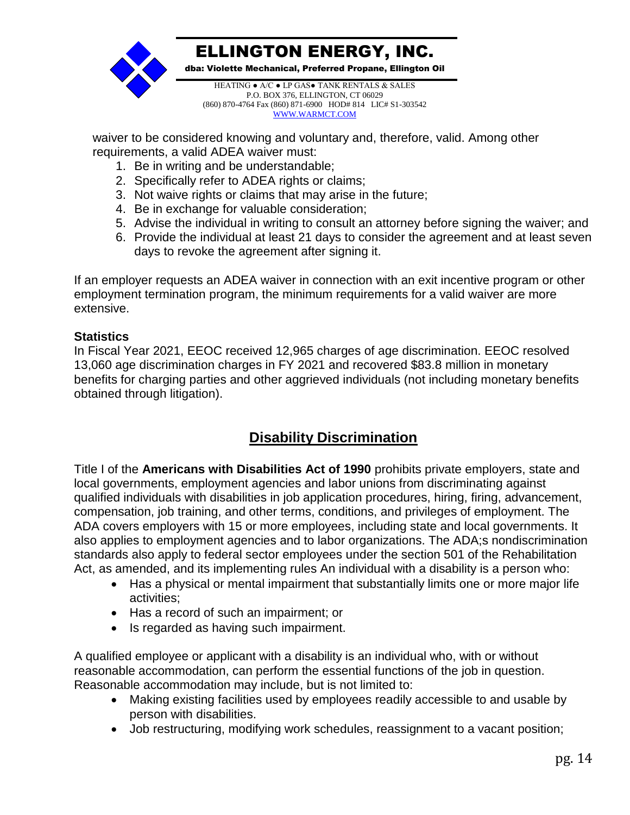

dba: Violette Mechanical, Preferred Propane, Ellington Oil

HEATING ● A/C ● LP GAS● TANK RENTALS & SALES P.O. BOX 376, ELLINGTON, CT 06029 (860) 870-4764 Fax (860) 871-6900 HOD# 814 LIC# S1-303542 [WWW.WARMCT.COM](http://www.warmct.com/) 

waiver to be considered knowing and voluntary and, therefore, valid. Among other requirements, a valid ADEA waiver must:

- 1. Be in writing and be understandable;
- 2. Specifically refer to ADEA rights or claims;
- 3. Not waive rights or claims that may arise in the future;
- 4. Be in exchange for valuable consideration;
- 5. Advise the individual in writing to consult an attorney before signing the waiver; and
- 6. Provide the individual at least 21 days to consider the agreement and at least seven days to revoke the agreement after signing it.

If an employer requests an ADEA waiver in connection with an exit incentive program or other employment termination program, the minimum requirements for a valid waiver are more extensive.

#### **Statistics**

In Fiscal Year 2021, EEOC received 12,965 charges of age discrimination. EEOC resolved 13,060 age discrimination charges in FY 2021 and recovered \$83.8 million in monetary benefits for charging parties and other aggrieved individuals (not including monetary benefits obtained through litigation).

## **Disability Discrimination**

Title I of the **Americans with Disabilities Act of 1990** prohibits private employers, state and local governments, employment agencies and labor unions from discriminating against qualified individuals with disabilities in job application procedures, hiring, firing, advancement, compensation, job training, and other terms, conditions, and privileges of employment. The ADA covers employers with 15 or more employees, including state and local governments. It also applies to employment agencies and to labor organizations. The ADA;s nondiscrimination standards also apply to federal sector employees under the section 501 of the Rehabilitation Act, as amended, and its implementing rules An individual with a disability is a person who:

- Has a physical or mental impairment that substantially limits one or more major life activities;
- Has a record of such an impairment; or
- Is regarded as having such impairment.

A qualified employee or applicant with a disability is an individual who, with or without reasonable accommodation, can perform the essential functions of the job in question. Reasonable accommodation may include, but is not limited to:

- Making existing facilities used by employees readily accessible to and usable by person with disabilities.
- Job restructuring, modifying work schedules, reassignment to a vacant position;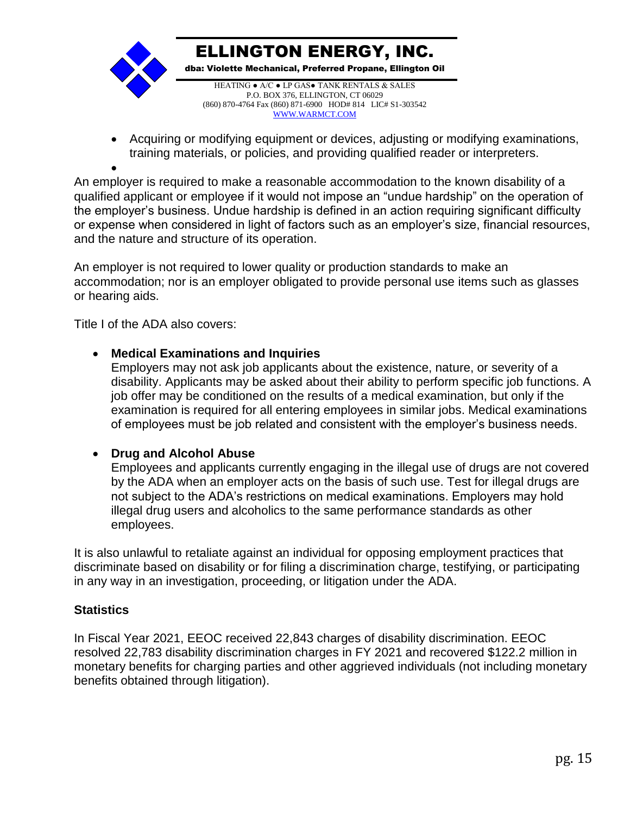

 Acquiring or modifying equipment or devices, adjusting or modifying examinations, training materials, or policies, and providing qualified reader or interpreters.

 $\bullet$ An employer is required to make a reasonable accommodation to the known disability of a qualified applicant or employee if it would not impose an "undue hardship" on the operation of the employer's business. Undue hardship is defined in an action requiring significant difficulty or expense when considered in light of factors such as an employer's size, financial resources, and the nature and structure of its operation.

An employer is not required to lower quality or production standards to make an accommodation; nor is an employer obligated to provide personal use items such as glasses or hearing aids.

Title I of the ADA also covers:

#### **Medical Examinations and Inquiries**

Employers may not ask job applicants about the existence, nature, or severity of a disability. Applicants may be asked about their ability to perform specific job functions. A job offer may be conditioned on the results of a medical examination, but only if the examination is required for all entering employees in similar jobs. Medical examinations of employees must be job related and consistent with the employer's business needs.

#### **Drug and Alcohol Abuse**

Employees and applicants currently engaging in the illegal use of drugs are not covered by the ADA when an employer acts on the basis of such use. Test for illegal drugs are not subject to the ADA's restrictions on medical examinations. Employers may hold illegal drug users and alcoholics to the same performance standards as other employees.

It is also unlawful to retaliate against an individual for opposing employment practices that discriminate based on disability or for filing a discrimination charge, testifying, or participating in any way in an investigation, proceeding, or litigation under the ADA.

#### **Statistics**

In Fiscal Year 2021, EEOC received 22,843 charges of disability discrimination. EEOC resolved 22,783 disability discrimination charges in FY 2021 and recovered \$122.2 million in monetary benefits for charging parties and other aggrieved individuals (not including monetary benefits obtained through litigation).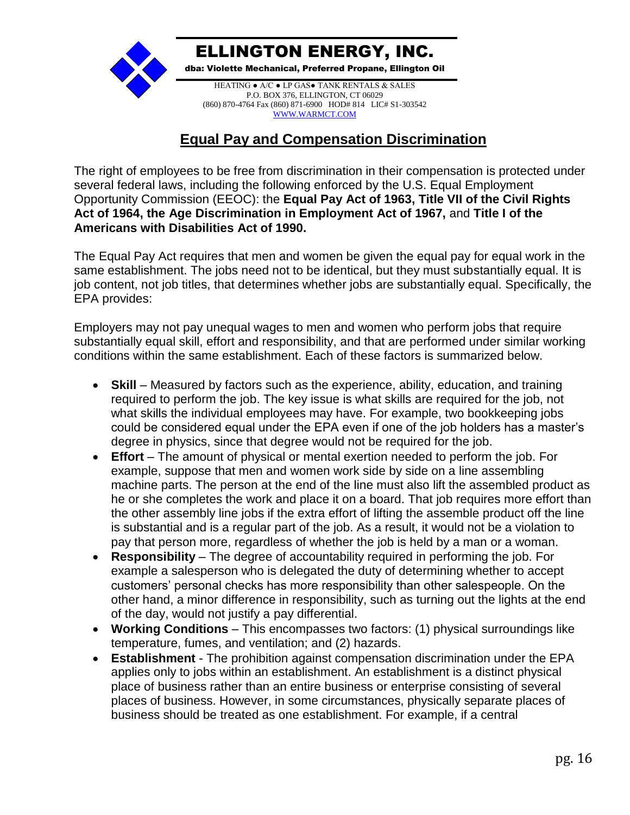

dba: Violette Mechanical, Preferred Propane, Ellington Oil

HEATING  $\bullet$  A/C  $\bullet$  LP GAS $\bullet$  TANK RENTALS & SALES P.O. BOX 376, ELLINGTON, CT 06029 (860) 870-4764 Fax (860) 871-6900 HOD# 814 LIC# S1-303542 [WWW.WARMCT.COM](http://www.warmct.com/) 

## **Equal Pay and Compensation Discrimination**

The right of employees to be free from discrimination in their compensation is protected under several federal laws, including the following enforced by the U.S. Equal Employment Opportunity Commission (EEOC): the **Equal Pay Act of 1963, Title VII of the Civil Rights Act of 1964, the Age Discrimination in Employment Act of 1967,** and **Title I of the Americans with Disabilities Act of 1990.**

The Equal Pay Act requires that men and women be given the equal pay for equal work in the same establishment. The jobs need not to be identical, but they must substantially equal. It is job content, not job titles, that determines whether jobs are substantially equal. Specifically, the EPA provides:

Employers may not pay unequal wages to men and women who perform jobs that require substantially equal skill, effort and responsibility, and that are performed under similar working conditions within the same establishment. Each of these factors is summarized below.

- **Skill** Measured by factors such as the experience, ability, education, and training required to perform the job. The key issue is what skills are required for the job, not what skills the individual employees may have. For example, two bookkeeping jobs could be considered equal under the EPA even if one of the job holders has a master's degree in physics, since that degree would not be required for the job.
- **Effort** The amount of physical or mental exertion needed to perform the job. For example, suppose that men and women work side by side on a line assembling machine parts. The person at the end of the line must also lift the assembled product as he or she completes the work and place it on a board. That job requires more effort than the other assembly line jobs if the extra effort of lifting the assemble product off the line is substantial and is a regular part of the job. As a result, it would not be a violation to pay that person more, regardless of whether the job is held by a man or a woman.
- **Responsibility** The degree of accountability required in performing the job. For example a salesperson who is delegated the duty of determining whether to accept customers' personal checks has more responsibility than other salespeople. On the other hand, a minor difference in responsibility, such as turning out the lights at the end of the day, would not justify a pay differential.
- **Working Conditions**  This encompasses two factors: (1) physical surroundings like temperature, fumes, and ventilation; and (2) hazards.
- **Establishment**  The prohibition against compensation discrimination under the EPA applies only to jobs within an establishment. An establishment is a distinct physical place of business rather than an entire business or enterprise consisting of several places of business. However, in some circumstances, physically separate places of business should be treated as one establishment. For example, if a central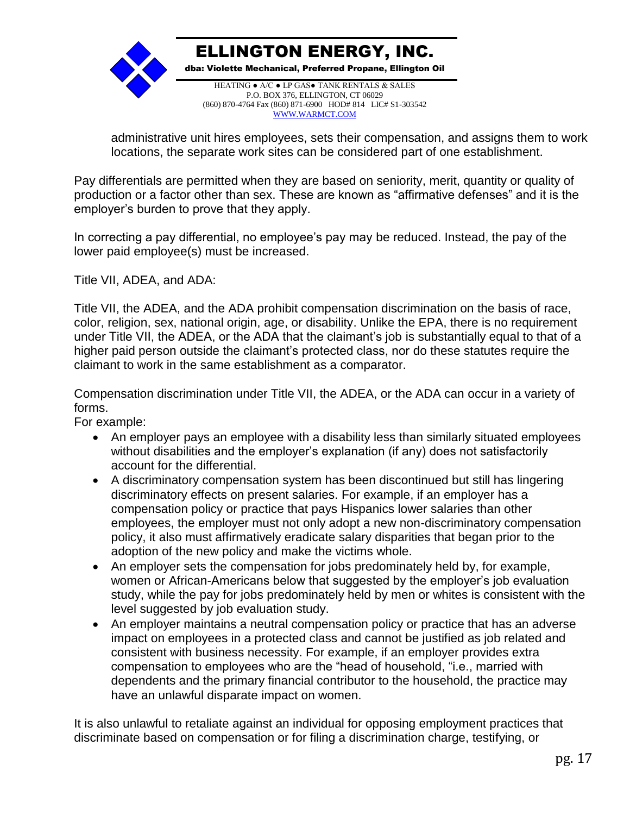

administrative unit hires employees, sets their compensation, and assigns them to work locations, the separate work sites can be considered part of one establishment.

Pay differentials are permitted when they are based on seniority, merit, quantity or quality of production or a factor other than sex. These are known as "affirmative defenses" and it is the employer's burden to prove that they apply.

In correcting a pay differential, no employee's pay may be reduced. Instead, the pay of the lower paid employee(s) must be increased.

Title VII, ADEA, and ADA:

Title VII, the ADEA, and the ADA prohibit compensation discrimination on the basis of race, color, religion, sex, national origin, age, or disability. Unlike the EPA, there is no requirement under Title VII, the ADEA, or the ADA that the claimant's job is substantially equal to that of a higher paid person outside the claimant's protected class, nor do these statutes require the claimant to work in the same establishment as a comparator.

Compensation discrimination under Title VII, the ADEA, or the ADA can occur in a variety of forms.

For example:

- An employer pays an employee with a disability less than similarly situated employees without disabilities and the employer's explanation (if any) does not satisfactorily account for the differential.
- A discriminatory compensation system has been discontinued but still has lingering discriminatory effects on present salaries. For example, if an employer has a compensation policy or practice that pays Hispanics lower salaries than other employees, the employer must not only adopt a new non-discriminatory compensation policy, it also must affirmatively eradicate salary disparities that began prior to the adoption of the new policy and make the victims whole.
- An employer sets the compensation for jobs predominately held by, for example, women or African-Americans below that suggested by the employer's job evaluation study, while the pay for jobs predominately held by men or whites is consistent with the level suggested by job evaluation study.
- An employer maintains a neutral compensation policy or practice that has an adverse impact on employees in a protected class and cannot be justified as job related and consistent with business necessity. For example, if an employer provides extra compensation to employees who are the "head of household, "i.e., married with dependents and the primary financial contributor to the household, the practice may have an unlawful disparate impact on women.

It is also unlawful to retaliate against an individual for opposing employment practices that discriminate based on compensation or for filing a discrimination charge, testifying, or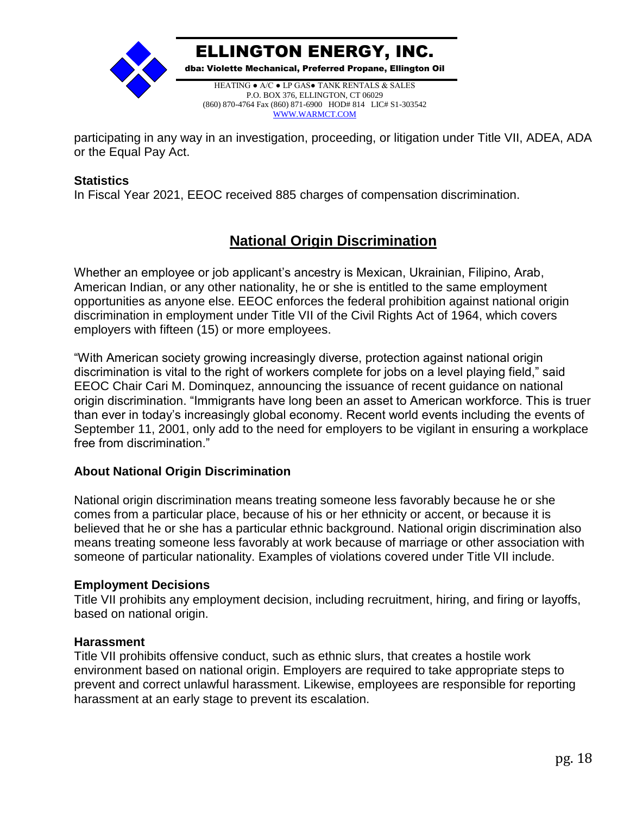

ELLINGTON ENERGY, INC. dba: Violette Mechanical, Preferred Propane, Ellington Oil

HEATING ● A/C ● LP GAS● TANK RENTALS & SALES P.O. BOX 376, ELLINGTON, CT 06029 (860) 870-4764 Fax (860) 871-6900 HOD# 814 LIC# S1-303542

[WWW.WARMCT.COM](http://www.warmct.com/) 

participating in any way in an investigation, proceeding, or litigation under Title VII, ADEA, ADA or the Equal Pay Act.

#### **Statistics**

In Fiscal Year 2021, EEOC received 885 charges of compensation discrimination.

## **National Origin Discrimination**

Whether an employee or job applicant's ancestry is Mexican, Ukrainian, Filipino, Arab, American Indian, or any other nationality, he or she is entitled to the same employment opportunities as anyone else. EEOC enforces the federal prohibition against national origin discrimination in employment under Title VII of the Civil Rights Act of 1964, which covers employers with fifteen (15) or more employees.

"With American society growing increasingly diverse, protection against national origin discrimination is vital to the right of workers complete for jobs on a level playing field," said EEOC Chair Cari M. Dominquez, announcing the issuance of recent guidance on national origin discrimination. "Immigrants have long been an asset to American workforce. This is truer than ever in today's increasingly global economy. Recent world events including the events of September 11, 2001, only add to the need for employers to be vigilant in ensuring a workplace free from discrimination."

#### **About National Origin Discrimination**

National origin discrimination means treating someone less favorably because he or she comes from a particular place, because of his or her ethnicity or accent, or because it is believed that he or she has a particular ethnic background. National origin discrimination also means treating someone less favorably at work because of marriage or other association with someone of particular nationality. Examples of violations covered under Title VII include.

#### **Employment Decisions**

Title VII prohibits any employment decision, including recruitment, hiring, and firing or layoffs, based on national origin.

#### **Harassment**

Title VII prohibits offensive conduct, such as ethnic slurs, that creates a hostile work environment based on national origin. Employers are required to take appropriate steps to prevent and correct unlawful harassment. Likewise, employees are responsible for reporting harassment at an early stage to prevent its escalation.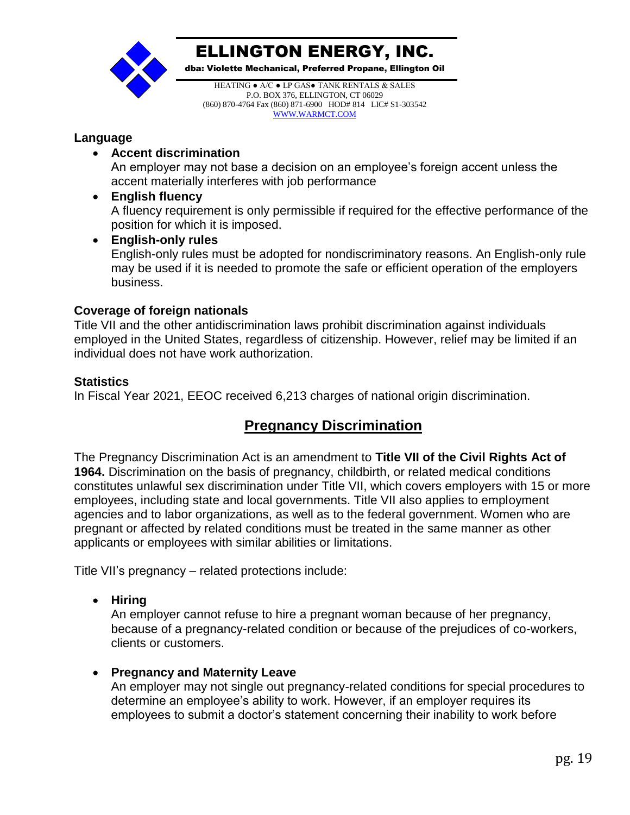

dba: Violette Mechanical, Preferred Propane, Ellington Oil

HEATING ● A/C ● LP GAS● TANK RENTALS & SALES P.O. BOX 376, ELLINGTON, CT 06029 (860) 870-4764 Fax (860) 871-6900 HOD# 814 LIC# S1-303542 [WWW.WARMCT.COM](http://www.warmct.com/) 

#### **Language**

**Accent discrimination**

An employer may not base a decision on an employee's foreign accent unless the accent materially interferes with job performance

- **English fluency** A fluency requirement is only permissible if required for the effective performance of the position for which it is imposed.
- **English-only rules** English-only rules must be adopted for nondiscriminatory reasons. An English-only rule may be used if it is needed to promote the safe or efficient operation of the employers business.

#### **Coverage of foreign nationals**

Title VII and the other antidiscrimination laws prohibit discrimination against individuals employed in the United States, regardless of citizenship. However, relief may be limited if an individual does not have work authorization.

#### **Statistics**

In Fiscal Year 2021, EEOC received 6,213 charges of national origin discrimination.

## **Pregnancy Discrimination**

The Pregnancy Discrimination Act is an amendment to **Title VII of the Civil Rights Act of 1964.** Discrimination on the basis of pregnancy, childbirth, or related medical conditions constitutes unlawful sex discrimination under Title VII, which covers employers with 15 or more employees, including state and local governments. Title VII also applies to employment agencies and to labor organizations, as well as to the federal government. Women who are pregnant or affected by related conditions must be treated in the same manner as other applicants or employees with similar abilities or limitations.

Title VII's pregnancy – related protections include:

**Hiring**

An employer cannot refuse to hire a pregnant woman because of her pregnancy, because of a pregnancy-related condition or because of the prejudices of co-workers, clients or customers.

#### **Pregnancy and Maternity Leave**

An employer may not single out pregnancy-related conditions for special procedures to determine an employee's ability to work. However, if an employer requires its employees to submit a doctor's statement concerning their inability to work before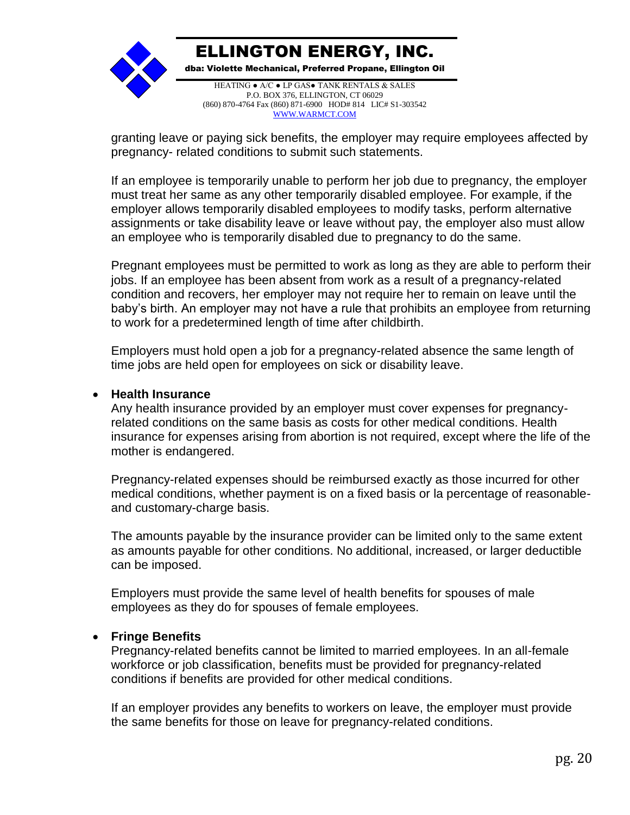

granting leave or paying sick benefits, the employer may require employees affected by pregnancy- related conditions to submit such statements.

If an employee is temporarily unable to perform her job due to pregnancy, the employer must treat her same as any other temporarily disabled employee. For example, if the employer allows temporarily disabled employees to modify tasks, perform alternative assignments or take disability leave or leave without pay, the employer also must allow an employee who is temporarily disabled due to pregnancy to do the same.

Pregnant employees must be permitted to work as long as they are able to perform their jobs. If an employee has been absent from work as a result of a pregnancy-related condition and recovers, her employer may not require her to remain on leave until the baby's birth. An employer may not have a rule that prohibits an employee from returning to work for a predetermined length of time after childbirth.

Employers must hold open a job for a pregnancy-related absence the same length of time jobs are held open for employees on sick or disability leave.

#### **Health Insurance**

Any health insurance provided by an employer must cover expenses for pregnancyrelated conditions on the same basis as costs for other medical conditions. Health insurance for expenses arising from abortion is not required, except where the life of the mother is endangered.

Pregnancy-related expenses should be reimbursed exactly as those incurred for other medical conditions, whether payment is on a fixed basis or la percentage of reasonableand customary-charge basis.

The amounts payable by the insurance provider can be limited only to the same extent as amounts payable for other conditions. No additional, increased, or larger deductible can be imposed.

Employers must provide the same level of health benefits for spouses of male employees as they do for spouses of female employees.

#### **Fringe Benefits**

Pregnancy-related benefits cannot be limited to married employees. In an all-female workforce or job classification, benefits must be provided for pregnancy-related conditions if benefits are provided for other medical conditions.

If an employer provides any benefits to workers on leave, the employer must provide the same benefits for those on leave for pregnancy-related conditions.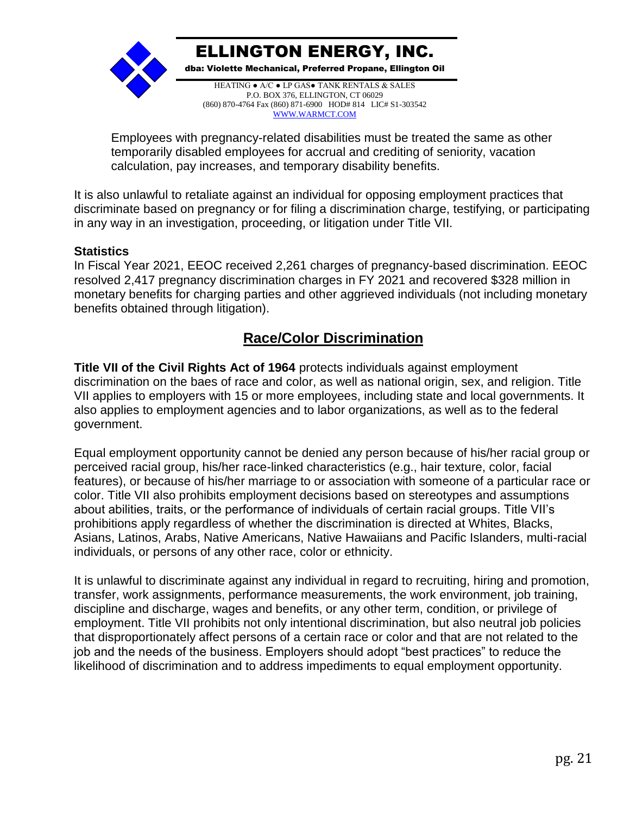

Employees with pregnancy-related disabilities must be treated the same as other temporarily disabled employees for accrual and crediting of seniority, vacation calculation, pay increases, and temporary disability benefits.

It is also unlawful to retaliate against an individual for opposing employment practices that discriminate based on pregnancy or for filing a discrimination charge, testifying, or participating in any way in an investigation, proceeding, or litigation under Title VII.

#### **Statistics**

In Fiscal Year 2021, EEOC received 2,261 charges of pregnancy-based discrimination. EEOC resolved 2,417 pregnancy discrimination charges in FY 2021 and recovered \$328 million in monetary benefits for charging parties and other aggrieved individuals (not including monetary benefits obtained through litigation).

## **Race/Color Discrimination**

**Title VII of the Civil Rights Act of 1964** protects individuals against employment discrimination on the baes of race and color, as well as national origin, sex, and religion. Title VII applies to employers with 15 or more employees, including state and local governments. It also applies to employment agencies and to labor organizations, as well as to the federal government.

Equal employment opportunity cannot be denied any person because of his/her racial group or perceived racial group, his/her race-linked characteristics (e.g., hair texture, color, facial features), or because of his/her marriage to or association with someone of a particular race or color. Title VII also prohibits employment decisions based on stereotypes and assumptions about abilities, traits, or the performance of individuals of certain racial groups. Title VII's prohibitions apply regardless of whether the discrimination is directed at Whites, Blacks, Asians, Latinos, Arabs, Native Americans, Native Hawaiians and Pacific Islanders, multi-racial individuals, or persons of any other race, color or ethnicity.

It is unlawful to discriminate against any individual in regard to recruiting, hiring and promotion, transfer, work assignments, performance measurements, the work environment, job training, discipline and discharge, wages and benefits, or any other term, condition, or privilege of employment. Title VII prohibits not only intentional discrimination, but also neutral job policies that disproportionately affect persons of a certain race or color and that are not related to the job and the needs of the business. Employers should adopt "best practices" to reduce the likelihood of discrimination and to address impediments to equal employment opportunity.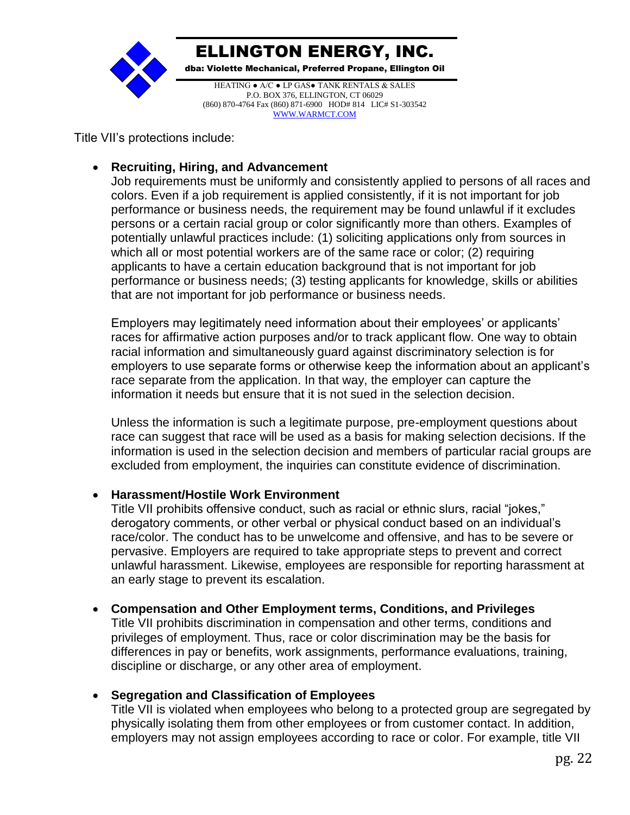

Title VII's protections include:

#### **Recruiting, Hiring, and Advancement**

Job requirements must be uniformly and consistently applied to persons of all races and colors. Even if a job requirement is applied consistently, if it is not important for job performance or business needs, the requirement may be found unlawful if it excludes persons or a certain racial group or color significantly more than others. Examples of potentially unlawful practices include: (1) soliciting applications only from sources in which all or most potential workers are of the same race or color; (2) requiring applicants to have a certain education background that is not important for job performance or business needs; (3) testing applicants for knowledge, skills or abilities that are not important for job performance or business needs.

Employers may legitimately need information about their employees' or applicants' races for affirmative action purposes and/or to track applicant flow. One way to obtain racial information and simultaneously guard against discriminatory selection is for employers to use separate forms or otherwise keep the information about an applicant's race separate from the application. In that way, the employer can capture the information it needs but ensure that it is not sued in the selection decision.

Unless the information is such a legitimate purpose, pre-employment questions about race can suggest that race will be used as a basis for making selection decisions. If the information is used in the selection decision and members of particular racial groups are excluded from employment, the inquiries can constitute evidence of discrimination.

#### **Harassment/Hostile Work Environment**

Title VII prohibits offensive conduct, such as racial or ethnic slurs, racial "jokes," derogatory comments, or other verbal or physical conduct based on an individual's race/color. The conduct has to be unwelcome and offensive, and has to be severe or pervasive. Employers are required to take appropriate steps to prevent and correct unlawful harassment. Likewise, employees are responsible for reporting harassment at an early stage to prevent its escalation.

#### **Compensation and Other Employment terms, Conditions, and Privileges**

Title VII prohibits discrimination in compensation and other terms, conditions and privileges of employment. Thus, race or color discrimination may be the basis for differences in pay or benefits, work assignments, performance evaluations, training, discipline or discharge, or any other area of employment.

#### **Segregation and Classification of Employees**

Title VII is violated when employees who belong to a protected group are segregated by physically isolating them from other employees or from customer contact. In addition, employers may not assign employees according to race or color. For example, title VII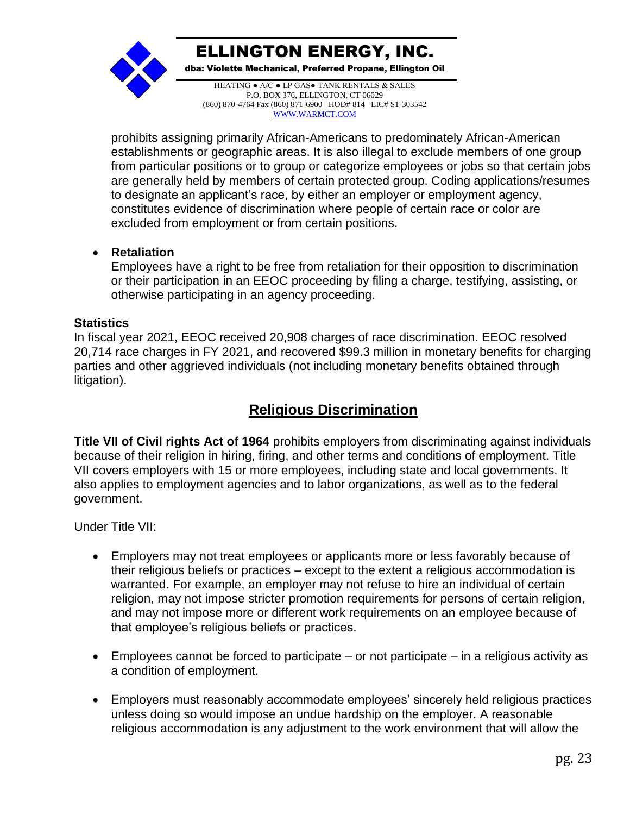

dba: Violette Mechanical, Preferred Propane, Ellington Oil

HEATING ● A/C ● LP GAS● TANK RENTALS & SALES P.O. BOX 376, ELLINGTON, CT 06029 (860) 870-4764 Fax (860) 871-6900 HOD# 814 LIC# S1-303542 [WWW.WARMCT.COM](http://www.warmct.com/) 

prohibits assigning primarily African-Americans to predominately African-American establishments or geographic areas. It is also illegal to exclude members of one group from particular positions or to group or categorize employees or jobs so that certain jobs are generally held by members of certain protected group. Coding applications/resumes to designate an applicant's race, by either an employer or employment agency, constitutes evidence of discrimination where people of certain race or color are excluded from employment or from certain positions.

**Retaliation**

Employees have a right to be free from retaliation for their opposition to discrimination or their participation in an EEOC proceeding by filing a charge, testifying, assisting, or otherwise participating in an agency proceeding.

#### **Statistics**

In fiscal year 2021, EEOC received 20,908 charges of race discrimination. EEOC resolved 20,714 race charges in FY 2021, and recovered \$99.3 million in monetary benefits for charging parties and other aggrieved individuals (not including monetary benefits obtained through litigation).

## **Religious Discrimination**

**Title VII of Civil rights Act of 1964** prohibits employers from discriminating against individuals because of their religion in hiring, firing, and other terms and conditions of employment. Title VII covers employers with 15 or more employees, including state and local governments. It also applies to employment agencies and to labor organizations, as well as to the federal government.

Under Title VII:

- Employers may not treat employees or applicants more or less favorably because of their religious beliefs or practices – except to the extent a religious accommodation is warranted. For example, an employer may not refuse to hire an individual of certain religion, may not impose stricter promotion requirements for persons of certain religion, and may not impose more or different work requirements on an employee because of that employee's religious beliefs or practices.
- **Employees cannot be forced to participate** or not participate in a religious activity as a condition of employment.
- Employers must reasonably accommodate employees' sincerely held religious practices unless doing so would impose an undue hardship on the employer. A reasonable religious accommodation is any adjustment to the work environment that will allow the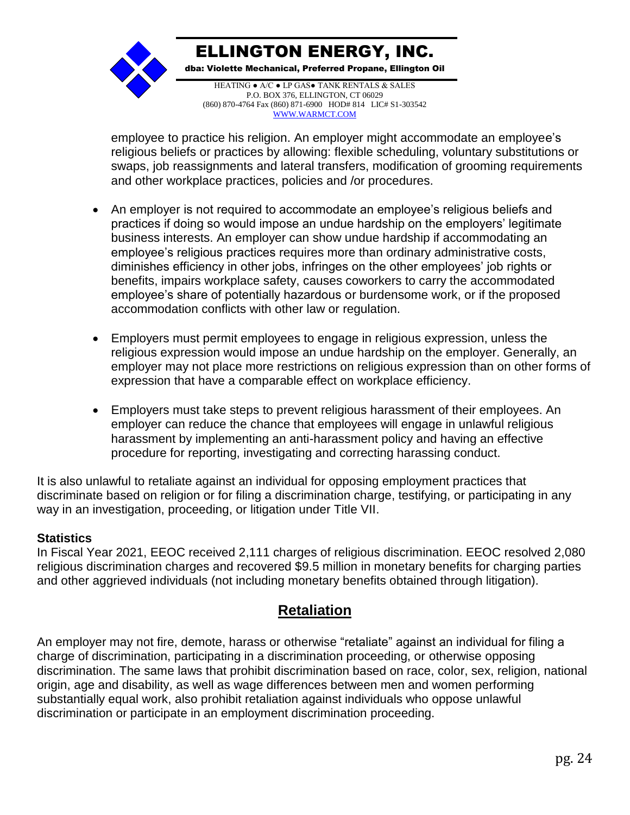

dba: Violette Mechanical, Preferred Propane, Ellington Oil

HEATING ● A/C ● LP GAS● TANK RENTALS & SALES P.O. BOX 376, ELLINGTON, CT 06029 (860) 870-4764 Fax (860) 871-6900 HOD# 814 LIC# S1-303542 [WWW.WARMCT.COM](http://www.warmct.com/) 

employee to practice his religion. An employer might accommodate an employee's religious beliefs or practices by allowing: flexible scheduling, voluntary substitutions or swaps, job reassignments and lateral transfers, modification of grooming requirements and other workplace practices, policies and /or procedures.

- An employer is not required to accommodate an employee's religious beliefs and practices if doing so would impose an undue hardship on the employers' legitimate business interests. An employer can show undue hardship if accommodating an employee's religious practices requires more than ordinary administrative costs, diminishes efficiency in other jobs, infringes on the other employees' job rights or benefits, impairs workplace safety, causes coworkers to carry the accommodated employee's share of potentially hazardous or burdensome work, or if the proposed accommodation conflicts with other law or regulation.
- Employers must permit employees to engage in religious expression, unless the religious expression would impose an undue hardship on the employer. Generally, an employer may not place more restrictions on religious expression than on other forms of expression that have a comparable effect on workplace efficiency.
- Employers must take steps to prevent religious harassment of their employees. An employer can reduce the chance that employees will engage in unlawful religious harassment by implementing an anti-harassment policy and having an effective procedure for reporting, investigating and correcting harassing conduct.

It is also unlawful to retaliate against an individual for opposing employment practices that discriminate based on religion or for filing a discrimination charge, testifying, or participating in any way in an investigation, proceeding, or litigation under Title VII.

#### **Statistics**

In Fiscal Year 2021, EEOC received 2,111 charges of religious discrimination. EEOC resolved 2,080 religious discrimination charges and recovered \$9.5 million in monetary benefits for charging parties and other aggrieved individuals (not including monetary benefits obtained through litigation).

## **Retaliation**

An employer may not fire, demote, harass or otherwise "retaliate" against an individual for filing a charge of discrimination, participating in a discrimination proceeding, or otherwise opposing discrimination. The same laws that prohibit discrimination based on race, color, sex, religion, national origin, age and disability, as well as wage differences between men and women performing substantially equal work, also prohibit retaliation against individuals who oppose unlawful discrimination or participate in an employment discrimination proceeding.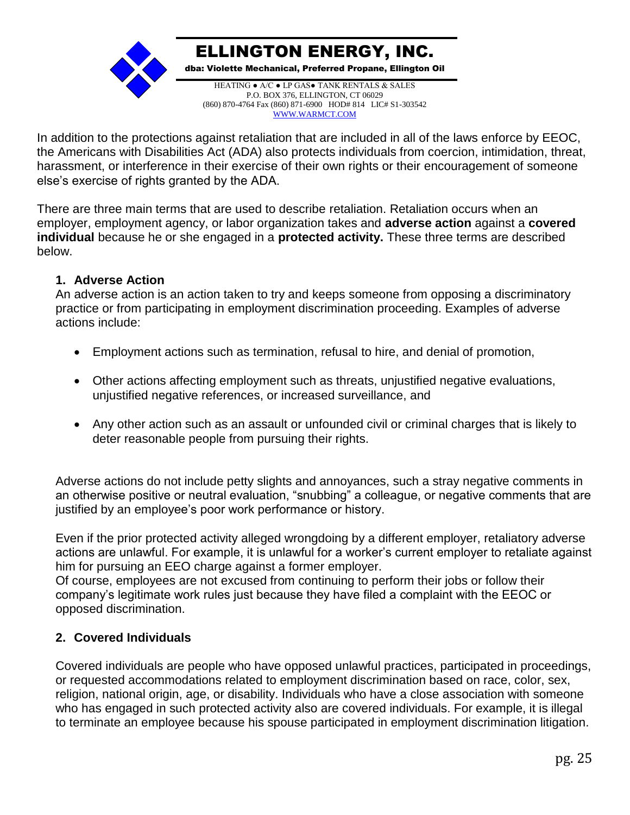

dba: Violette Mechanical, Preferred Propane, Ellington Oil

HEATING ● A/C ● LP GAS● TANK RENTALS & SALES P.O. BOX 376, ELLINGTON, CT 06029 (860) 870-4764 Fax (860) 871-6900 HOD# 814 LIC# S1-303542 [WWW.WARMCT.COM](http://www.warmct.com/) 

In addition to the protections against retaliation that are included in all of the laws enforce by EEOC, the Americans with Disabilities Act (ADA) also protects individuals from coercion, intimidation, threat, harassment, or interference in their exercise of their own rights or their encouragement of someone else's exercise of rights granted by the ADA.

There are three main terms that are used to describe retaliation. Retaliation occurs when an employer, employment agency, or labor organization takes and **adverse action** against a **covered individual** because he or she engaged in a **protected activity.** These three terms are described below.

#### **1. Adverse Action**

An adverse action is an action taken to try and keeps someone from opposing a discriminatory practice or from participating in employment discrimination proceeding. Examples of adverse actions include:

- Employment actions such as termination, refusal to hire, and denial of promotion,
- Other actions affecting employment such as threats, unjustified negative evaluations, unjustified negative references, or increased surveillance, and
- Any other action such as an assault or unfounded civil or criminal charges that is likely to deter reasonable people from pursuing their rights.

Adverse actions do not include petty slights and annoyances, such a stray negative comments in an otherwise positive or neutral evaluation, "snubbing" a colleague, or negative comments that are justified by an employee's poor work performance or history.

Even if the prior protected activity alleged wrongdoing by a different employer, retaliatory adverse actions are unlawful. For example, it is unlawful for a worker's current employer to retaliate against him for pursuing an EEO charge against a former employer.

Of course, employees are not excused from continuing to perform their jobs or follow their company's legitimate work rules just because they have filed a complaint with the EEOC or opposed discrimination.

#### **2. Covered Individuals**

Covered individuals are people who have opposed unlawful practices, participated in proceedings, or requested accommodations related to employment discrimination based on race, color, sex, religion, national origin, age, or disability. Individuals who have a close association with someone who has engaged in such protected activity also are covered individuals. For example, it is illegal to terminate an employee because his spouse participated in employment discrimination litigation.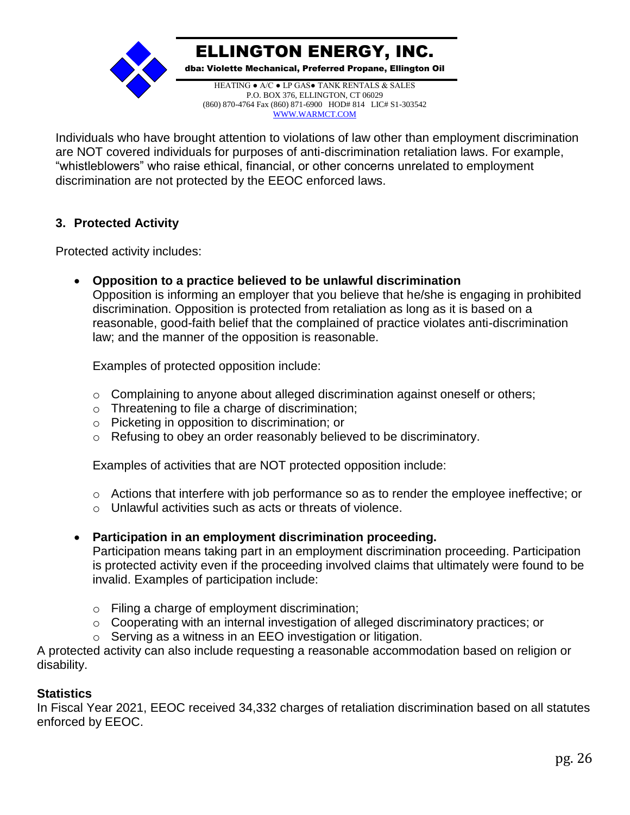

dba: Violette Mechanical, Preferred Propane, Ellington Oil

HEATING ● A/C ● LP GAS● TANK RENTALS & SALES P.O. BOX 376, ELLINGTON, CT 06029 (860) 870-4764 Fax (860) 871-6900 HOD# 814 LIC# S1-303542 [WWW.WARMCT.COM](http://www.warmct.com/) 

Individuals who have brought attention to violations of law other than employment discrimination are NOT covered individuals for purposes of anti-discrimination retaliation laws. For example, "whistleblowers" who raise ethical, financial, or other concerns unrelated to employment discrimination are not protected by the EEOC enforced laws.

#### **3. Protected Activity**

Protected activity includes:

 **Opposition to a practice believed to be unlawful discrimination** Opposition is informing an employer that you believe that he/she is engaging in prohibited

discrimination. Opposition is protected from retaliation as long as it is based on a reasonable, good-faith belief that the complained of practice violates anti-discrimination law; and the manner of the opposition is reasonable.

Examples of protected opposition include:

- o Complaining to anyone about alleged discrimination against oneself or others;
- o Threatening to file a charge of discrimination;
- o Picketing in opposition to discrimination; or
- o Refusing to obey an order reasonably believed to be discriminatory.

Examples of activities that are NOT protected opposition include:

- $\circ$  Actions that interfere with job performance so as to render the employee ineffective; or
- o Unlawful activities such as acts or threats of violence.
- **Participation in an employment discrimination proceeding.**

Participation means taking part in an employment discrimination proceeding. Participation is protected activity even if the proceeding involved claims that ultimately were found to be invalid. Examples of participation include:

- o Filing a charge of employment discrimination;
- o Cooperating with an internal investigation of alleged discriminatory practices; or
- o Serving as a witness in an EEO investigation or litigation.

A protected activity can also include requesting a reasonable accommodation based on religion or disability.

#### **Statistics**

In Fiscal Year 2021, EEOC received 34,332 charges of retaliation discrimination based on all statutes enforced by EEOC.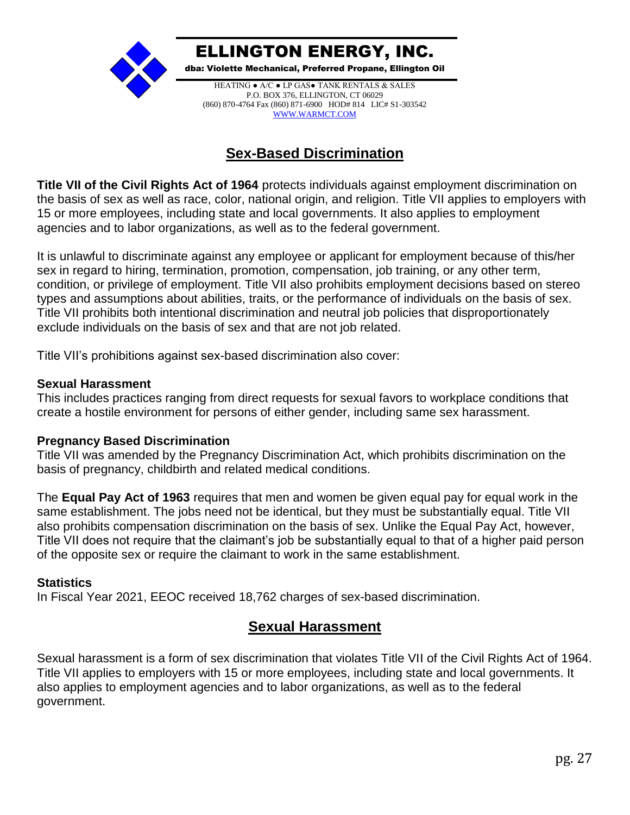

dba: Violette Mechanical, Preferred Propane, Ellington Oil

HEATING ● A/C ● LP GAS● TANK RENTALS & SALES P.O. BOX 376, ELLINGTON, CT 06029 (860) 870-4764 Fax (860) 871-6900 HOD# 814 LIC# S1-303542 [WWW.WARMCT.COM](http://www.warmct.com/) 

## **Sex-Based Discrimination**

**Title VII of the Civil Rights Act of 1964** protects individuals against employment discrimination on the basis of sex as well as race, color, national origin, and religion. Title VII applies to employers with 15 or more employees, including state and local governments. It also applies to employment agencies and to labor organizations, as well as to the federal government.

It is unlawful to discriminate against any employee or applicant for employment because of this/her sex in regard to hiring, termination, promotion, compensation, job training, or any other term, condition, or privilege of employment. Title VII also prohibits employment decisions based on stereo types and assumptions about abilities, traits, or the performance of individuals on the basis of sex. Title VII prohibits both intentional discrimination and neutral job policies that disproportionately exclude individuals on the basis of sex and that are not job related.

Title VII's prohibitions against sex-based discrimination also cover:

#### **Sexual Harassment**

This includes practices ranging from direct requests for sexual favors to workplace conditions that create a hostile environment for persons of either gender, including same sex harassment.

#### **Pregnancy Based Discrimination**

Title VII was amended by the Pregnancy Discrimination Act, which prohibits discrimination on the basis of pregnancy, childbirth and related medical conditions.

The **Equal Pay Act of 1963** requires that men and women be given equal pay for equal work in the same establishment. The jobs need not be identical, but they must be substantially equal. Title VII also prohibits compensation discrimination on the basis of sex. Unlike the Equal Pay Act, however, Title VII does not require that the claimant's job be substantially equal to that of a higher paid person of the opposite sex or require the claimant to work in the same establishment.

#### **Statistics**

In Fiscal Year 2021, EEOC received 18,762 charges of sex-based discrimination.

## **Sexual Harassment**

Sexual harassment is a form of sex discrimination that violates Title VII of the Civil Rights Act of 1964. Title VII applies to employers with 15 or more employees, including state and local governments. It also applies to employment agencies and to labor organizations, as well as to the federal government.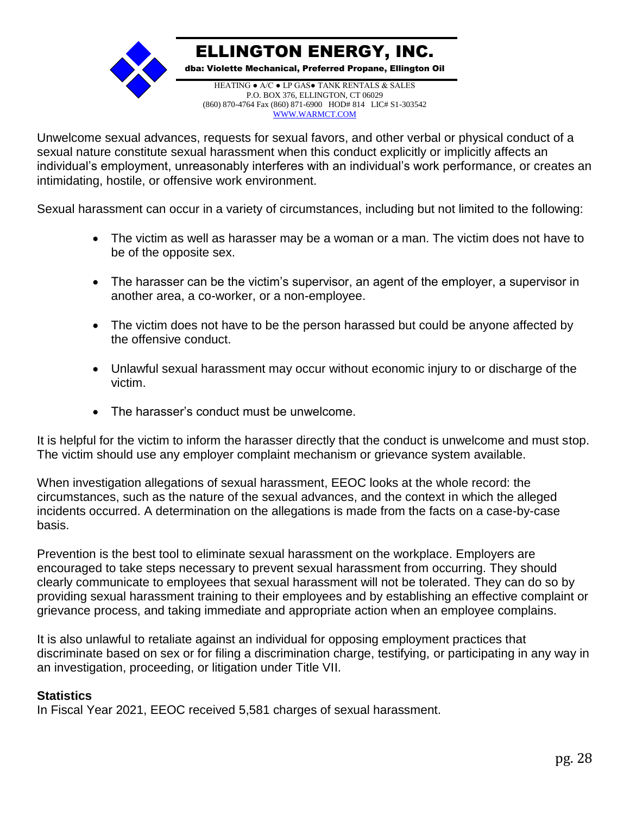

dba: Violette Mechanical, Preferred Propane, Ellington Oil

HEATING ● A/C ● LP GAS● TANK RENTALS & SALES P.O. BOX 376, ELLINGTON, CT 06029 (860) 870-4764 Fax (860) 871-6900 HOD# 814 LIC# S1-303542 [WWW.WARMCT.COM](http://www.warmct.com/) 

Unwelcome sexual advances, requests for sexual favors, and other verbal or physical conduct of a sexual nature constitute sexual harassment when this conduct explicitly or implicitly affects an individual's employment, unreasonably interferes with an individual's work performance, or creates an intimidating, hostile, or offensive work environment.

Sexual harassment can occur in a variety of circumstances, including but not limited to the following:

- The victim as well as harasser may be a woman or a man. The victim does not have to be of the opposite sex.
- The harasser can be the victim's supervisor, an agent of the employer, a supervisor in another area, a co-worker, or a non-employee.
- The victim does not have to be the person harassed but could be anyone affected by the offensive conduct.
- Unlawful sexual harassment may occur without economic injury to or discharge of the victim.
- The harasser's conduct must be unwelcome.

It is helpful for the victim to inform the harasser directly that the conduct is unwelcome and must stop. The victim should use any employer complaint mechanism or grievance system available.

When investigation allegations of sexual harassment, EEOC looks at the whole record: the circumstances, such as the nature of the sexual advances, and the context in which the alleged incidents occurred. A determination on the allegations is made from the facts on a case-by-case basis.

Prevention is the best tool to eliminate sexual harassment on the workplace. Employers are encouraged to take steps necessary to prevent sexual harassment from occurring. They should clearly communicate to employees that sexual harassment will not be tolerated. They can do so by providing sexual harassment training to their employees and by establishing an effective complaint or grievance process, and taking immediate and appropriate action when an employee complains.

It is also unlawful to retaliate against an individual for opposing employment practices that discriminate based on sex or for filing a discrimination charge, testifying, or participating in any way in an investigation, proceeding, or litigation under Title VII.

#### **Statistics**

In Fiscal Year 2021, EEOC received 5,581 charges of sexual harassment.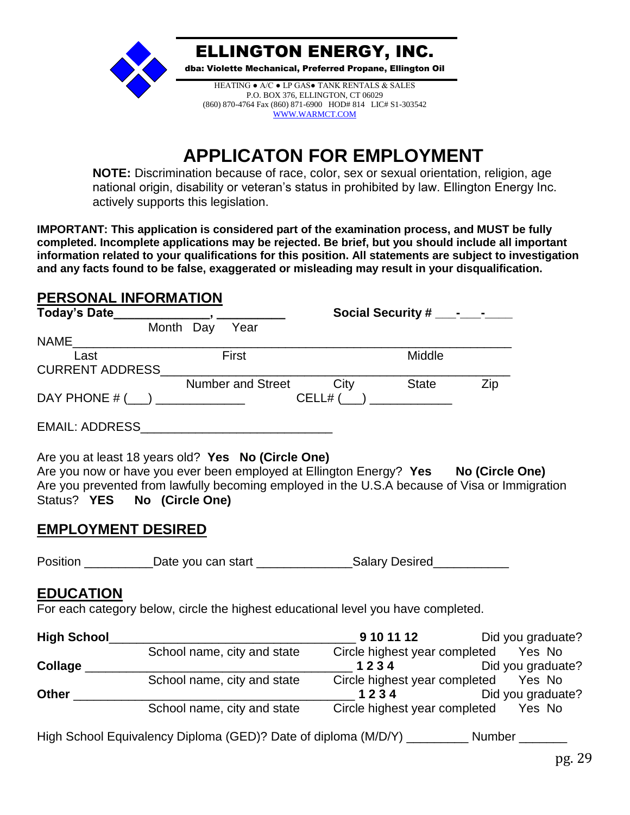

## **APPLICATON FOR EMPLOYMENT**

**NOTE:** Discrimination because of race, color, sex or sexual orientation, religion, age national origin, disability or veteran's status in prohibited by law. Ellington Energy Inc. actively supports this legislation.

**IMPORTANT: This application is considered part of the examination process, and MUST be fully completed. Incomplete applications may be rejected. Be brief, but you should include all important information related to your qualifications for this position. All statements are subject to investigation and any facts found to be false, exaggerated or misleading may result in your disqualification.**

#### **PERSONAL INFORMATION**

|                                                                                                                                                                                                                                                                           |                             | Social Security # $\_\_\_\_\_\_\_\_\_\_\_\_\_\_\_\_\_\_$         |        |                                      |
|---------------------------------------------------------------------------------------------------------------------------------------------------------------------------------------------------------------------------------------------------------------------------|-----------------------------|------------------------------------------------------------------|--------|--------------------------------------|
|                                                                                                                                                                                                                                                                           |                             |                                                                  |        |                                      |
|                                                                                                                                                                                                                                                                           |                             |                                                                  |        |                                      |
|                                                                                                                                                                                                                                                                           |                             |                                                                  | Middle |                                      |
| CURRENT ADDRESS________________                                                                                                                                                                                                                                           |                             |                                                                  |        |                                      |
|                                                                                                                                                                                                                                                                           |                             | <b>Example 1</b> Number and Street City State Zip                |        |                                      |
| EMAIL: ADDRESS_______________________________                                                                                                                                                                                                                             |                             |                                                                  |        |                                      |
| Are you at least 18 years old? Yes No (Circle One)<br>Are you now or have you ever been employed at Ellington Energy? Yes No (Circle One)<br>Are you prevented from lawfully becoming employed in the U.S.A because of Visa or Immigration<br>Status? YES No (Circle One) |                             |                                                                  |        |                                      |
| <b>EMPLOYMENT DESIRED</b>                                                                                                                                                                                                                                                 |                             |                                                                  |        |                                      |
| Position ____________Date you can start ____________________Salary Desired_____________                                                                                                                                                                                   |                             |                                                                  |        |                                      |
| <b>EDUCATION</b>                                                                                                                                                                                                                                                          |                             |                                                                  |        |                                      |
| For each category below, circle the highest educational level you have completed.                                                                                                                                                                                         |                             |                                                                  |        |                                      |
| High School_____                                                                                                                                                                                                                                                          |                             | Did you graduate?                                                |        |                                      |
|                                                                                                                                                                                                                                                                           |                             | School name, city and state Circle highest year completed Yes No |        |                                      |
|                                                                                                                                                                                                                                                                           |                             |                                                                  |        |                                      |
|                                                                                                                                                                                                                                                                           |                             | School name, city and state Circle highest year completed Yes No |        |                                      |
| <b>Other Community</b>                                                                                                                                                                                                                                                    |                             |                                                                  |        | 1234 Did you graduate?               |
|                                                                                                                                                                                                                                                                           | School name, city and state |                                                                  |        | Circle highest year completed Yes No |
|                                                                                                                                                                                                                                                                           |                             |                                                                  |        |                                      |

High School Equivalency Diploma (GED)? Date of diploma (M/D/Y) \_\_\_\_\_\_\_\_\_\_\_\_ Number \_\_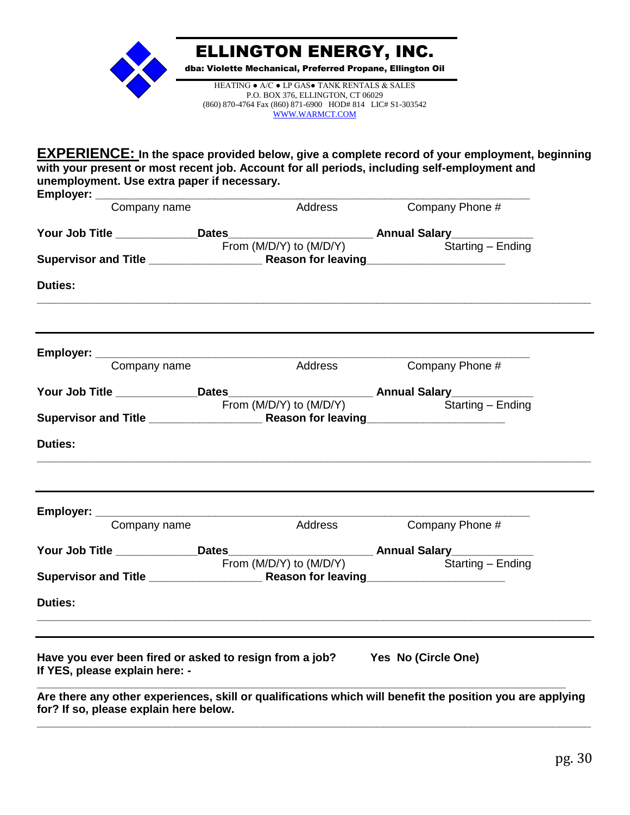

**EXPERIENCE: In the space provided below, give a complete record of your employment, beginning with your present or most recent job. Account for all periods, including self-employment and unemployment. Use extra paper if necessary.**

| Employer: ___________________________________ |                                                                                                               |                                                                                                           |
|-----------------------------------------------|---------------------------------------------------------------------------------------------------------------|-----------------------------------------------------------------------------------------------------------|
| Company name                                  | Address                                                                                                       | Company Phone #                                                                                           |
|                                               |                                                                                                               |                                                                                                           |
|                                               | From (M/D/Y) to (M/D/Y)                                                                                       | Starting - Ending                                                                                         |
| <b>Duties:</b>                                |                                                                                                               |                                                                                                           |
|                                               | Address                                                                                                       |                                                                                                           |
| Company name                                  |                                                                                                               | Company Phone #                                                                                           |
|                                               |                                                                                                               |                                                                                                           |
|                                               | Supervisor and Title <u>From (M/D/Y)</u> to (M/D/Y) <b>CONSERVING Starting - Ending</b><br>Reason for leaving |                                                                                                           |
| <b>Duties:</b>                                |                                                                                                               |                                                                                                           |
| Company name                                  | Address                                                                                                       | <b>Company Phone #</b>                                                                                    |
|                                               |                                                                                                               |                                                                                                           |
|                                               | From (M/D/Y) to (M/D/Y) Starting – Ending                                                                     |                                                                                                           |
|                                               |                                                                                                               |                                                                                                           |
| <b>Duties:</b>                                |                                                                                                               |                                                                                                           |
| If YES, please explain here: -                | Have you ever been fired or asked to resign from a job? Yes No (Circle One)                                   |                                                                                                           |
|                                               |                                                                                                               | Aso these any other experiences, abili as qualifications which will benefit the peoitien you are enplying |

**Are there any other experiences, skill or qualifications which will benefit the position you are applying for? If so, please explain here below. \_\_\_\_\_\_\_\_\_\_\_\_\_\_\_\_\_\_\_\_\_\_\_\_\_\_\_\_\_\_\_\_\_\_\_\_\_\_\_\_\_\_\_\_\_\_\_\_\_\_\_\_\_\_\_\_\_\_\_\_\_\_\_\_\_\_\_\_\_\_\_\_\_\_\_\_\_\_\_\_\_\_\_\_\_\_\_\_**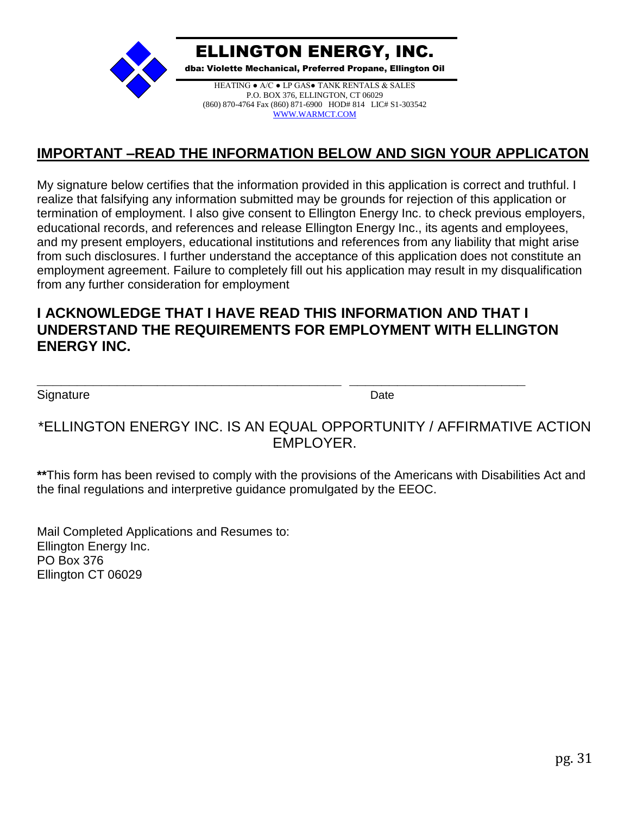

dba: Violette Mechanical, Preferred Propane, Ellington Oil

HEATING ● A/C ● LP GAS● TANK RENTALS & SALES P.O. BOX 376, ELLINGTON, CT 06029 (860) 870-4764 Fax (860) 871-6900 HOD# 814 LIC# S1-303542 [WWW.WARMCT.COM](http://www.warmct.com/) 

## **IMPORTANT –READ THE INFORMATION BELOW AND SIGN YOUR APPLICATON**

My signature below certifies that the information provided in this application is correct and truthful. I realize that falsifying any information submitted may be grounds for rejection of this application or termination of employment. I also give consent to Ellington Energy Inc. to check previous employers, educational records, and references and release Ellington Energy Inc., its agents and employees, and my present employers, educational institutions and references from any liability that might arise from such disclosures. I further understand the acceptance of this application does not constitute an employment agreement. Failure to completely fill out his application may result in my disqualification from any further consideration for employment

## **I ACKNOWLEDGE THAT I HAVE READ THIS INFORMATION AND THAT I UNDERSTAND THE REQUIREMENTS FOR EMPLOYMENT WITH ELLINGTON ENERGY INC.**

**\_\_\_\_\_\_\_\_\_\_\_\_\_\_\_\_\_\_\_\_\_\_\_\_\_\_\_\_\_\_\_\_\_\_\_\_\_\_ \_\_\_\_\_\_\_\_\_\_\_\_\_\_\_\_\_\_\_\_\_\_**

Signature Date **Date** 

## \*ELLINGTON ENERGY INC. IS AN EQUAL OPPORTUNITY / AFFIRMATIVE ACTION EMPLOYER.

**\*\***This form has been revised to comply with the provisions of the Americans with Disabilities Act and the final regulations and interpretive guidance promulgated by the EEOC.

Mail Completed Applications and Resumes to: Ellington Energy Inc. PO Box 376 Ellington CT 06029